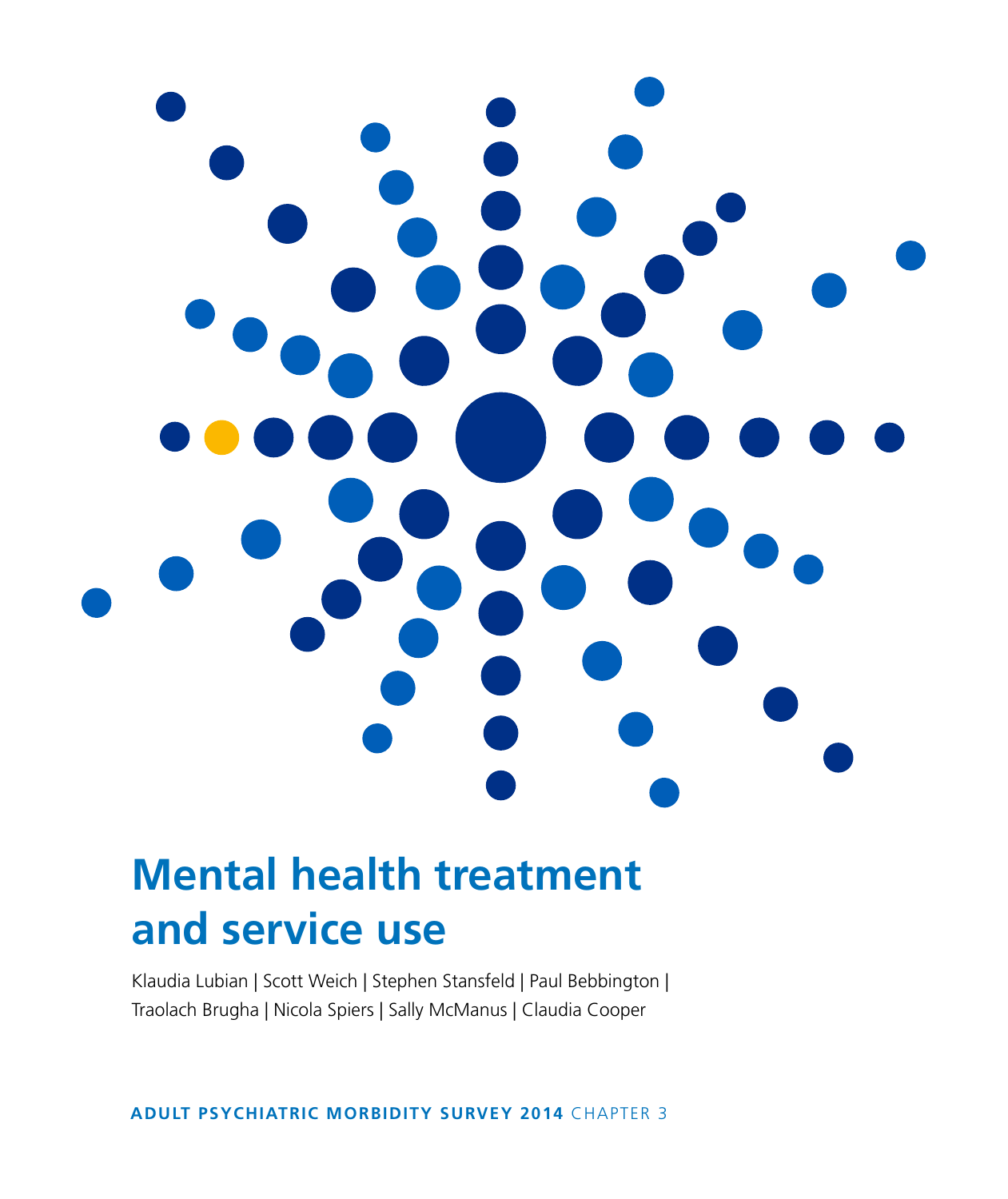

# **Mental health treatment and service use**

Klaudia Lubian | Scott Weich | Stephen Stansfeld | Paul Bebbington | Traolach Brugha | Nicola Spiers | Sally McManus | Claudia Cooper

**ADULT PSYCHIATRIC MORBIDITY SURVEY 2014** CHAPTER 3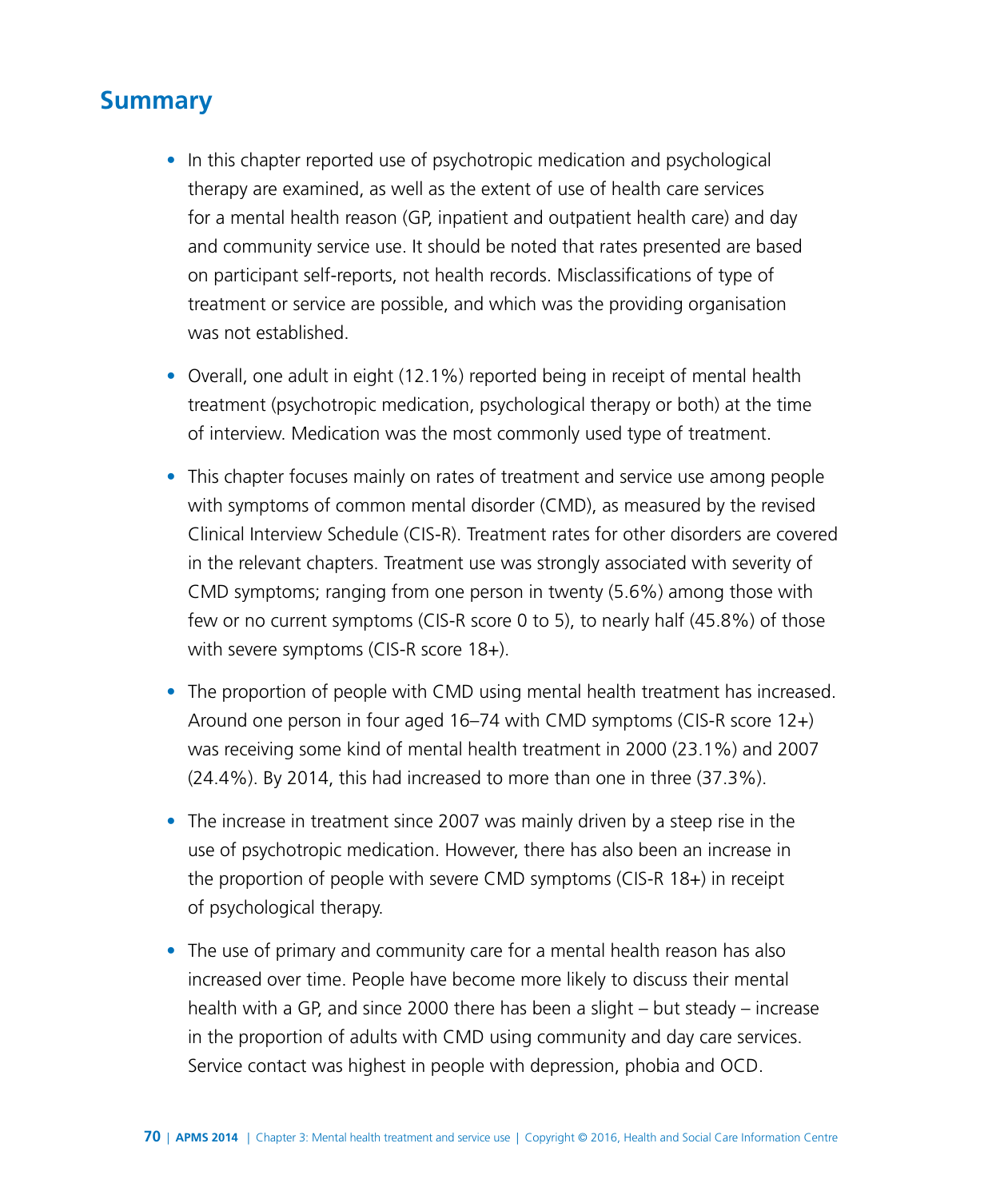# **Summary**

- In this chapter reported use of psychotropic medication and psychological therapy are examined, as well as the extent of use of health care services for a mental health reason (GP, inpatient and outpatient health care) and day and community service use. It should be noted that rates presented are based on participant self-reports, not health records. Misclassifications of type of treatment or service are possible, and which was the providing organisation was not established.
- Overall, one adult in eight (12.1%) reported being in receipt of mental health treatment (psychotropic medication, psychological therapy or both) at the time of interview. Medication was the most commonly used type of treatment.
- This chapter focuses mainly on rates of treatment and service use among people with symptoms of common mental disorder (CMD), as measured by the revised Clinical Interview Schedule (CIS-R). Treatment rates for other disorders are covered in the relevant chapters. Treatment use was strongly associated with severity of CMD symptoms; ranging from one person in twenty (5.6%) among those with few or no current symptoms (CIS-R score 0 to 5), to nearly half (45.8%) of those with severe symptoms (CIS-R score 18+).
- The proportion of people with CMD using mental health treatment has increased. Around one person in four aged 16–74 with CMD symptoms (CIS-R score 12+) was receiving some kind of mental health treatment in 2000 (23.1%) and 2007 (24.4%). By 2014, this had increased to more than one in three (37.3%).
- The increase in treatment since 2007 was mainly driven by a steep rise in the use of psychotropic medication. However, there has also been an increase in the proportion of people with severe CMD symptoms (CIS-R 18+) in receipt of psychological therapy.
- The use of primary and community care for a mental health reason has also increased over time. People have become more likely to discuss their mental health with a GP, and since 2000 there has been a slight – but steady – increase in the proportion of adults with CMD using community and day care services. Service contact was highest in people with depression, phobia and OCD.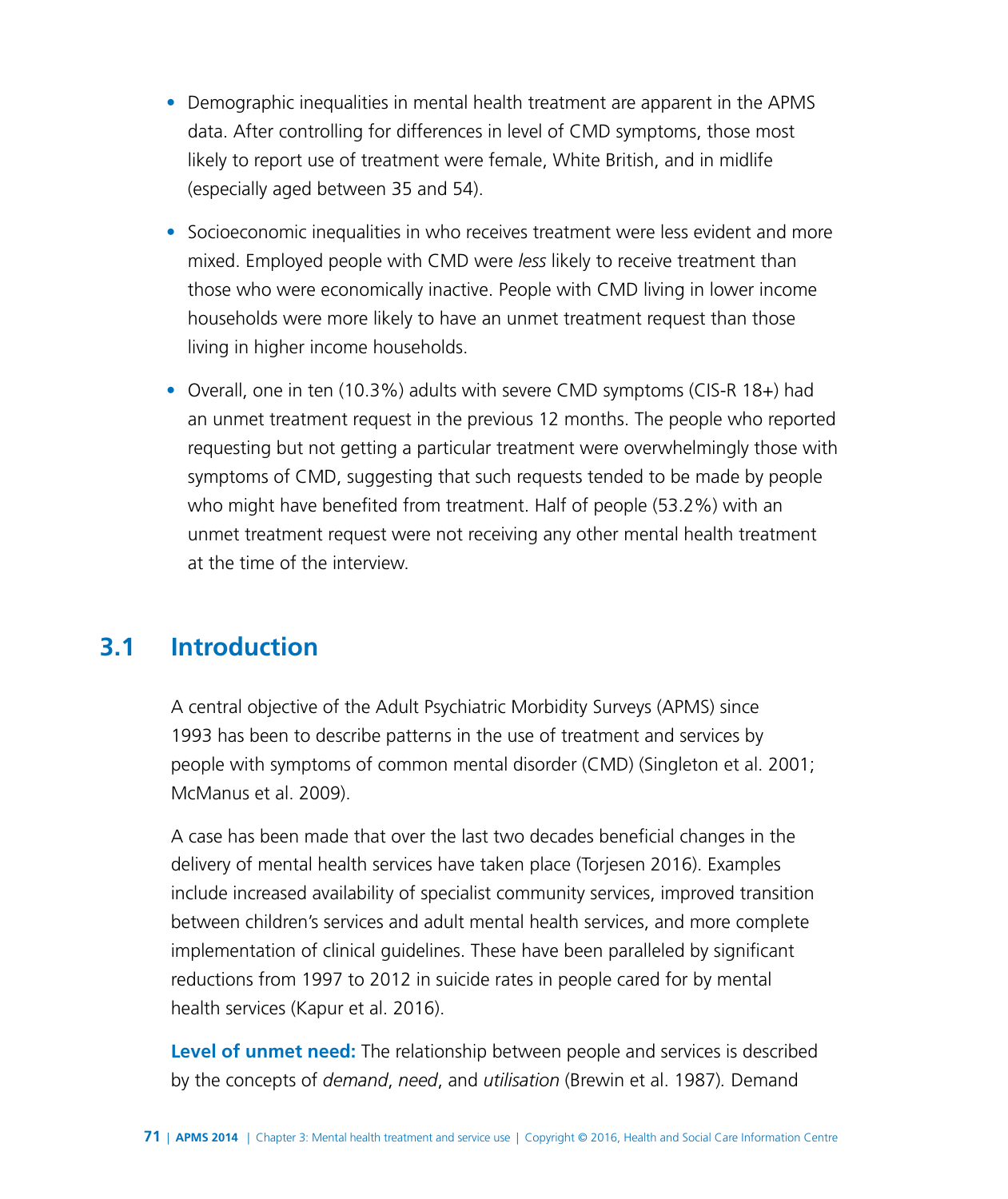- Demographic inequalities in mental health treatment are apparent in the APMS data. After controlling for differences in level of CMD symptoms, those most likely to report use of treatment were female, White British, and in midlife (especially aged between 35 and 54).
- Socioeconomic inequalities in who receives treatment were less evident and more mixed. Employed people with CMD were *less* likely to receive treatment than those who were economically inactive. People with CMD living in lower income households were more likely to have an unmet treatment request than those living in higher income households.
- Overall, one in ten (10.3%) adults with severe CMD symptoms (CIS-R 18+) had an unmet treatment request in the previous 12 months. The people who reported requesting but not getting a particular treatment were overwhelmingly those with symptoms of CMD, suggesting that such requests tended to be made by people who might have benefited from treatment. Half of people (53.2%) with an unmet treatment request were not receiving any other mental health treatment at the time of the interview.

# **3.1 Introduction**

A central objective of the Adult Psychiatric Morbidity Surveys (APMS) since 1993 has been to describe patterns in the use of treatment and services by people with symptoms of common mental disorder (CMD) (Singleton et al. 2001; McManus et al. 2009).

A case has been made that over the last two decades beneficial changes in the delivery of mental health services have taken place (Torjesen 2016). Examples include increased availability of specialist community services, improved transition between children's services and adult mental health services, and more complete implementation of clinical guidelines. These have been paralleled by significant reductions from 1997 to 2012 in suicide rates in people cared for by mental health services (Kapur et al. 2016).

**Level of unmet need:** The relationship between people and services is described by the concepts of *demand*, *need*, and *utilisation* (Brewin et al. 1987)*.* Demand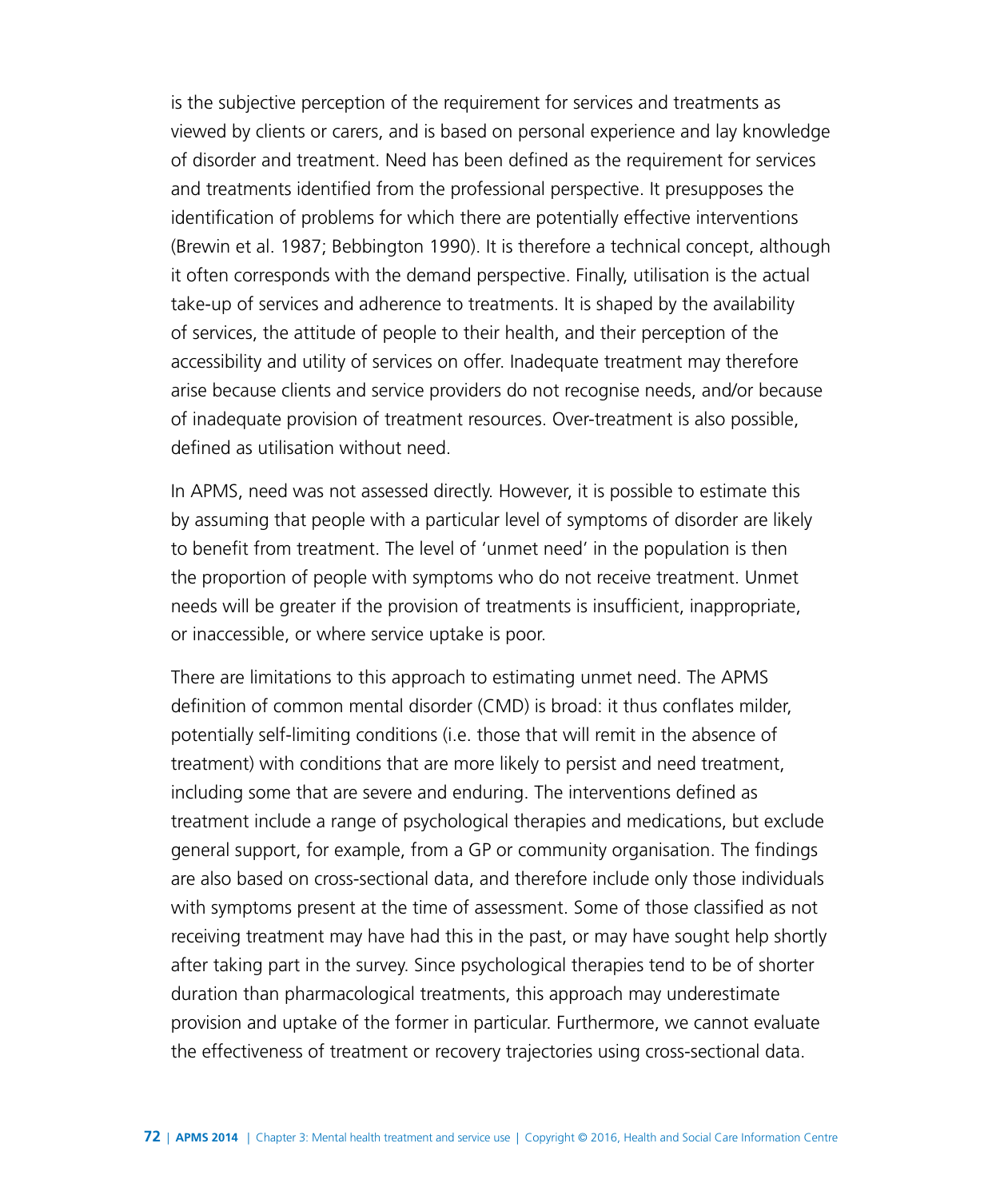is the subjective perception of the requirement for services and treatments as viewed by clients or carers, and is based on personal experience and lay knowledge of disorder and treatment. Need has been defined as the requirement for services and treatments identified from the professional perspective. It presupposes the identification of problems for which there are potentially effective interventions (Brewin et al. 1987; Bebbington 1990). It is therefore a technical concept, although it often corresponds with the demand perspective. Finally, utilisation is the actual take-up of services and adherence to treatments. It is shaped by the availability of services, the attitude of people to their health, and their perception of the accessibility and utility of services on offer. Inadequate treatment may therefore arise because clients and service providers do not recognise needs, and/or because of inadequate provision of treatment resources. Over-treatment is also possible, defined as utilisation without need.

In APMS, need was not assessed directly. However, it is possible to estimate this by assuming that people with a particular level of symptoms of disorder are likely to benefit from treatment. The level of 'unmet need' in the population is then the proportion of people with symptoms who do not receive treatment. Unmet needs will be greater if the provision of treatments is insufficient, inappropriate, or inaccessible, or where service uptake is poor.

There are limitations to this approach to estimating unmet need. The APMS definition of common mental disorder (CMD) is broad: it thus conflates milder, potentially self-limiting conditions (i.e. those that will remit in the absence of treatment) with conditions that are more likely to persist and need treatment, including some that are severe and enduring. The interventions defined as treatment include a range of psychological therapies and medications, but exclude general support, for example, from a GP or community organisation. The findings are also based on cross-sectional data, and therefore include only those individuals with symptoms present at the time of assessment. Some of those classified as not receiving treatment may have had this in the past, or may have sought help shortly after taking part in the survey. Since psychological therapies tend to be of shorter duration than pharmacological treatments, this approach may underestimate provision and uptake of the former in particular. Furthermore, we cannot evaluate the effectiveness of treatment or recovery trajectories using cross-sectional data.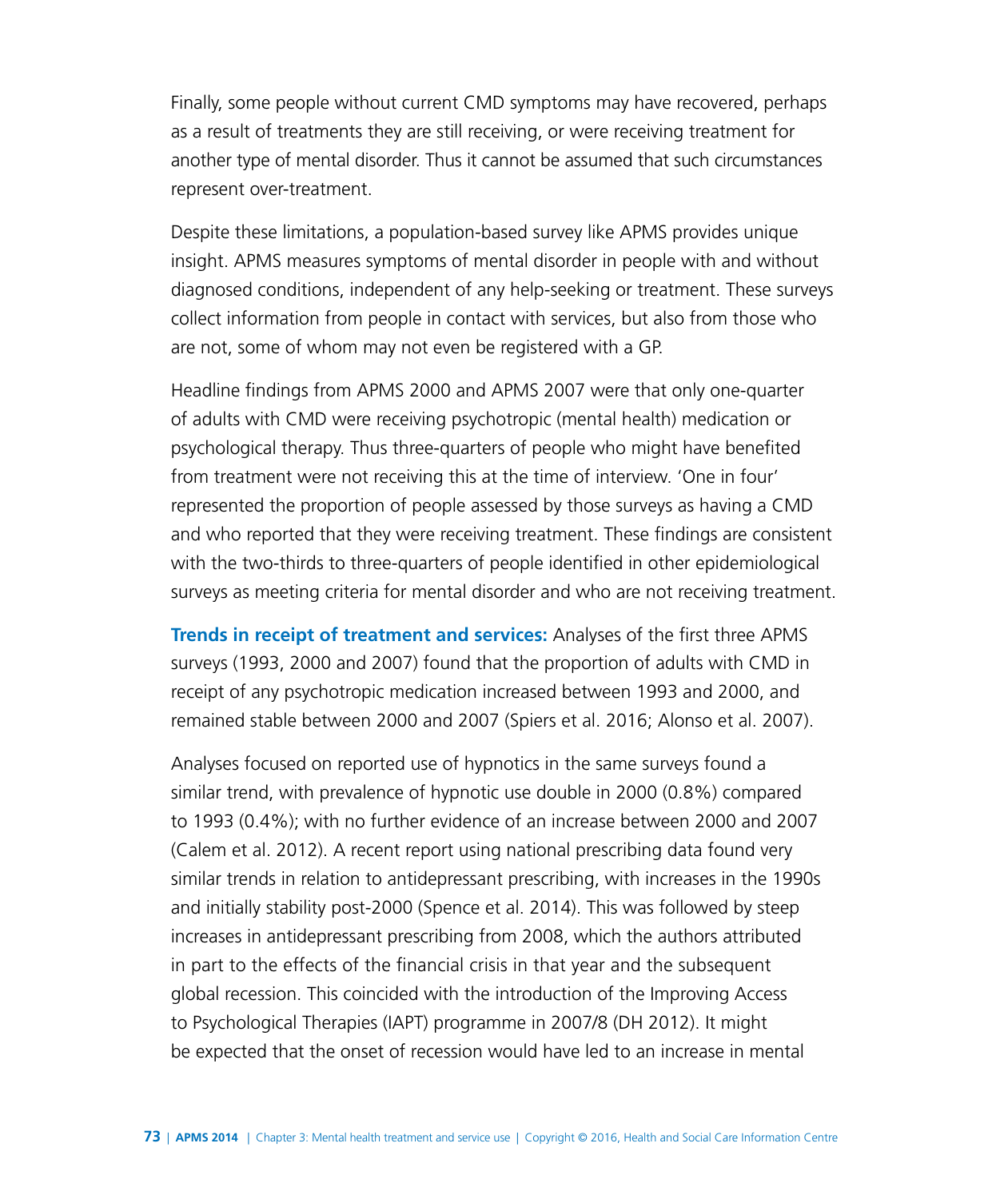Finally, some people without current CMD symptoms may have recovered, perhaps as a result of treatments they are still receiving, or were receiving treatment for another type of mental disorder. Thus it cannot be assumed that such circumstances represent over-treatment.

Despite these limitations, a population-based survey like APMS provides unique insight. APMS measures symptoms of mental disorder in people with and without diagnosed conditions, independent of any help-seeking or treatment. These surveys collect information from people in contact with services, but also from those who are not, some of whom may not even be registered with a GP.

Headline findings from APMS 2000 and APMS 2007 were that only one-quarter of adults with CMD were receiving psychotropic (mental health) medication or psychological therapy. Thus three-quarters of people who might have benefited from treatment were not receiving this at the time of interview. 'One in four' represented the proportion of people assessed by those surveys as having a CMD and who reported that they were receiving treatment. These findings are consistent with the two-thirds to three-quarters of people identified in other epidemiological surveys as meeting criteria for mental disorder and who are not receiving treatment.

**Trends in receipt of treatment and services:** Analyses of the first three APMS surveys (1993, 2000 and 2007) found that the proportion of adults with CMD in receipt of any psychotropic medication increased between 1993 and 2000, and remained stable between 2000 and 2007 (Spiers et al. 2016; Alonso et al. 2007).

Analyses focused on reported use of hypnotics in the same surveys found a similar trend, with prevalence of hypnotic use double in 2000 (0.8%) compared to 1993 (0.4%); with no further evidence of an increase between 2000 and 2007 (Calem et al. 2012). A recent report using national prescribing data found very similar trends in relation to antidepressant prescribing, with increases in the 1990s and initially stability post-2000 (Spence et al. 2014). This was followed by steep increases in antidepressant prescribing from 2008, which the authors attributed in part to the effects of the financial crisis in that year and the subsequent global recession. This coincided with the introduction of the Improving Access to Psychological Therapies (IAPT) programme in 2007/8 (DH 2012). It might be expected that the onset of recession would have led to an increase in mental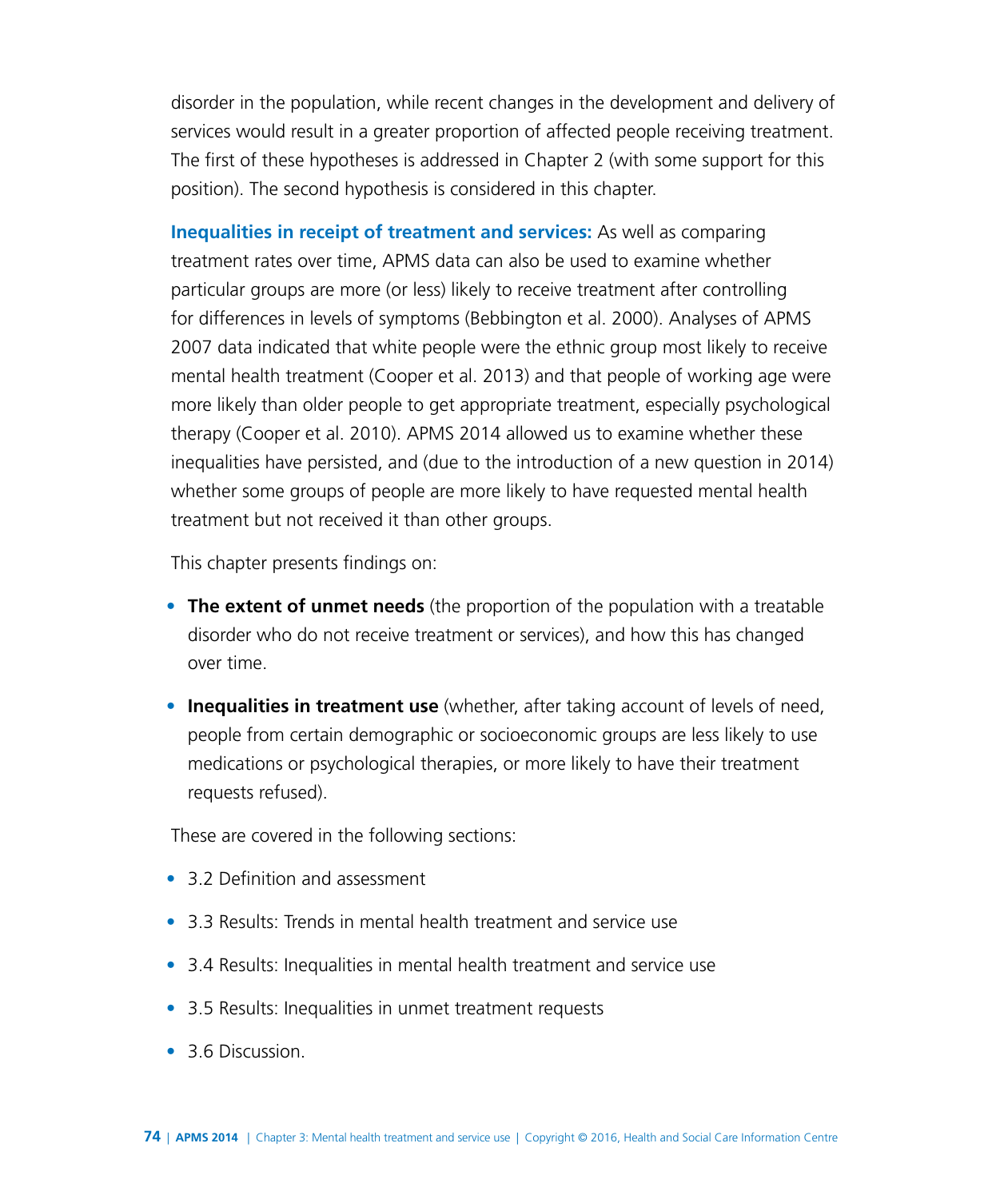disorder in the population, while recent changes in the development and delivery of services would result in a greater proportion of affected people receiving treatment. The first of these hypotheses is addressed in Chapter 2 (with some support for this position). The second hypothesis is considered in this chapter.

**Inequalities in receipt of treatment and services:** As well as comparing treatment rates over time, APMS data can also be used to examine whether particular groups are more (or less) likely to receive treatment after controlling for differences in levels of symptoms (Bebbington et al. 2000). Analyses of APMS 2007 data indicated that white people were the ethnic group most likely to receive mental health treatment (Cooper et al. 2013) and that people of working age were more likely than older people to get appropriate treatment, especially psychological therapy (Cooper et al. 2010). APMS 2014 allowed us to examine whether these inequalities have persisted, and (due to the introduction of a new question in 2014) whether some groups of people are more likely to have requested mental health treatment but not received it than other groups.

This chapter presents findings on:

- **The extent of unmet needs** (the proportion of the population with a treatable disorder who do not receive treatment or services), and how this has changed over time.
- **Inequalities in treatment use** (whether, after taking account of levels of need, people from certain demographic or socioeconomic groups are less likely to use medications or psychological therapies, or more likely to have their treatment requests refused).

These are covered in the following sections:

- 3.2 Definition and assessment
- 3.3 Results: Trends in mental health treatment and service use
- 3.4 Results: Inequalities in mental health treatment and service use
- 3.5 Results: Inequalities in unmet treatment requests
- 3.6 Discussion.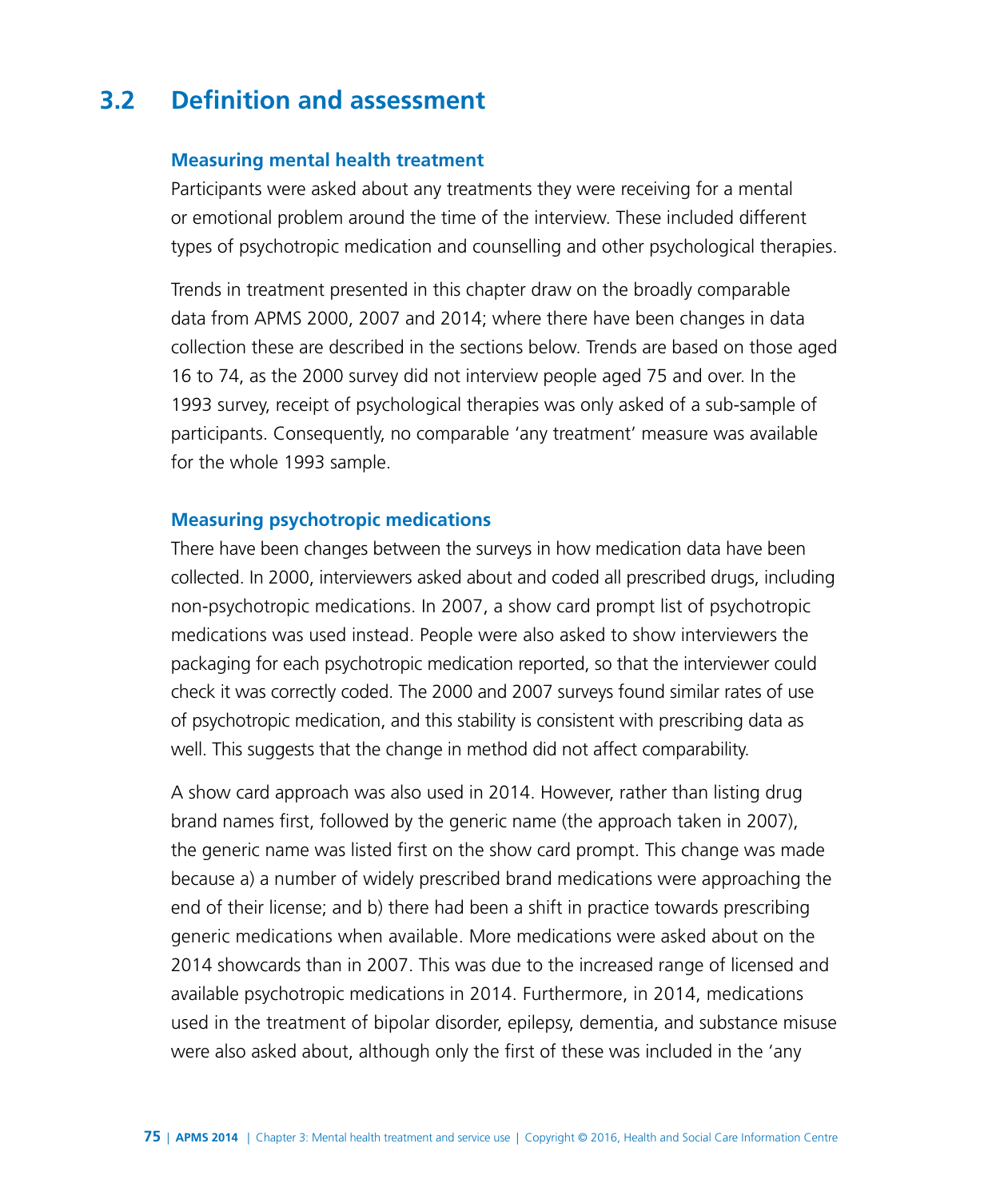# **3.2 Definition and assessment**

#### **Measuring mental health treatment**

Participants were asked about any treatments they were receiving for a mental or emotional problem around the time of the interview. These included different types of psychotropic medication and counselling and other psychological therapies.

Trends in treatment presented in this chapter draw on the broadly comparable data from APMS 2000, 2007 and 2014; where there have been changes in data collection these are described in the sections below. Trends are based on those aged 16 to 74, as the 2000 survey did not interview people aged 75 and over. In the 1993 survey, receipt of psychological therapies was only asked of a sub-sample of participants. Consequently, no comparable 'any treatment' measure was available for the whole 1993 sample.

#### **Measuring psychotropic medications**

There have been changes between the surveys in how medication data have been collected. In 2000, interviewers asked about and coded all prescribed drugs, including non-psychotropic medications. In 2007, a show card prompt list of psychotropic medications was used instead. People were also asked to show interviewers the packaging for each psychotropic medication reported, so that the interviewer could check it was correctly coded. The 2000 and 2007 surveys found similar rates of use of psychotropic medication, and this stability is consistent with prescribing data as well. This suggests that the change in method did not affect comparability.

A show card approach was also used in 2014. However, rather than listing drug brand names first, followed by the generic name (the approach taken in 2007), the generic name was listed first on the show card prompt. This change was made because a) a number of widely prescribed brand medications were approaching the end of their license; and b) there had been a shift in practice towards prescribing generic medications when available. More medications were asked about on the 2014 showcards than in 2007. This was due to the increased range of licensed and available psychotropic medications in 2014. Furthermore, in 2014, medications used in the treatment of bipolar disorder, epilepsy, dementia, and substance misuse were also asked about, although only the first of these was included in the 'any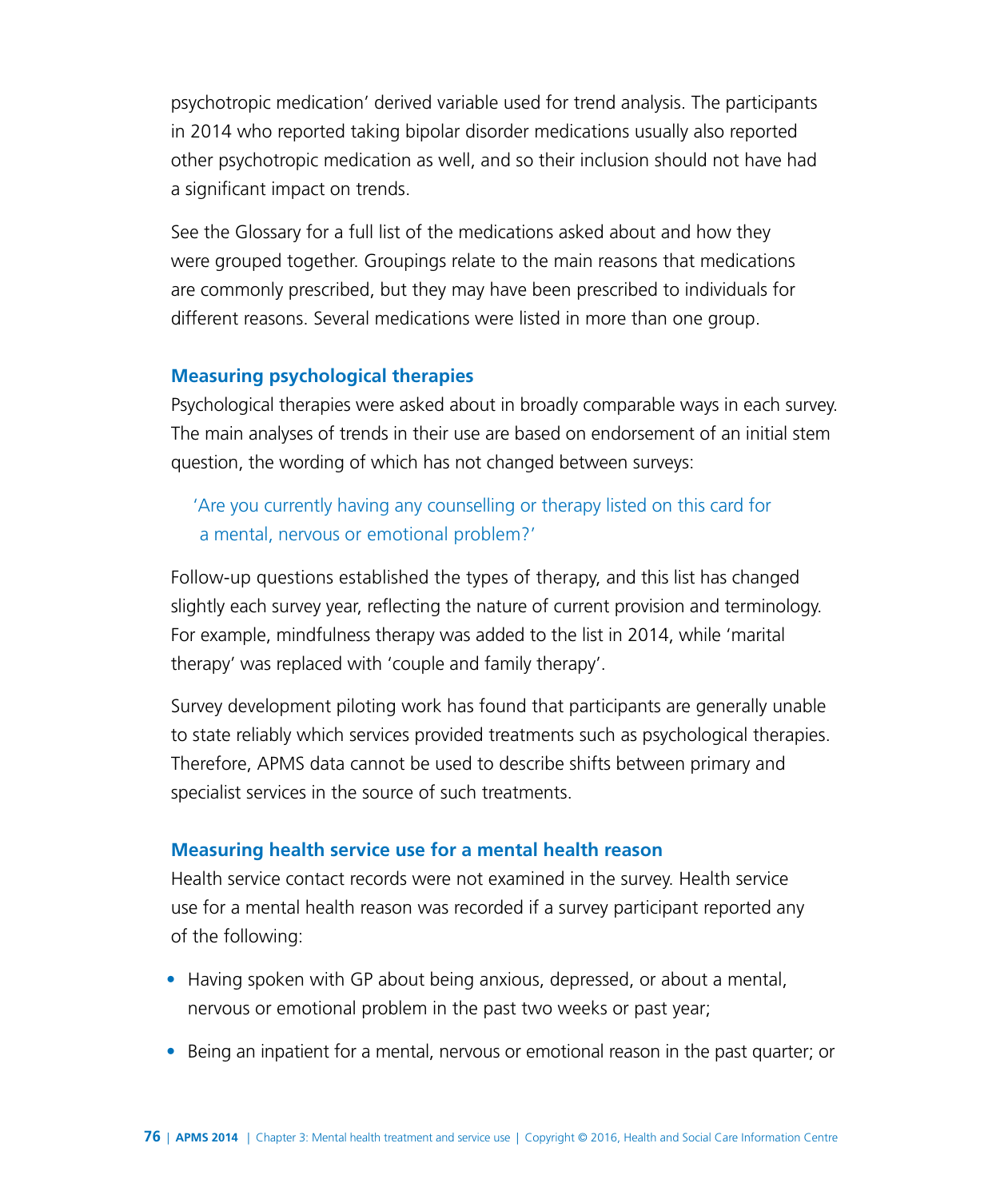psychotropic medication' derived variable used for trend analysis. The participants in 2014 who reported taking bipolar disorder medications usually also reported other psychotropic medication as well, and so their inclusion should not have had a significant impact on trends.

See the Glossary for a full list of the medications asked about and how they were grouped together. Groupings relate to the main reasons that medications are commonly prescribed, but they may have been prescribed to individuals for different reasons. Several medications were listed in more than one group.

#### **Measuring psychological therapies**

Psychological therapies were asked about in broadly comparable ways in each survey. The main analyses of trends in their use are based on endorsement of an initial stem question, the wording of which has not changed between surveys:

## 'Are you currently having any counselling or therapy listed on this card for a mental, nervous or emotional problem?'

Follow-up questions established the types of therapy, and this list has changed slightly each survey year, reflecting the nature of current provision and terminology. For example, mindfulness therapy was added to the list in 2014, while 'marital therapy' was replaced with 'couple and family therapy'.

Survey development piloting work has found that participants are generally unable to state reliably which services provided treatments such as psychological therapies. Therefore, APMS data cannot be used to describe shifts between primary and specialist services in the source of such treatments.

#### **Measuring health service use for a mental health reason**

Health service contact records were not examined in the survey. Health service use for a mental health reason was recorded if a survey participant reported any of the following:

- Having spoken with GP about being anxious, depressed, or about a mental, nervous or emotional problem in the past two weeks or past year;
- Being an inpatient for a mental, nervous or emotional reason in the past quarter; or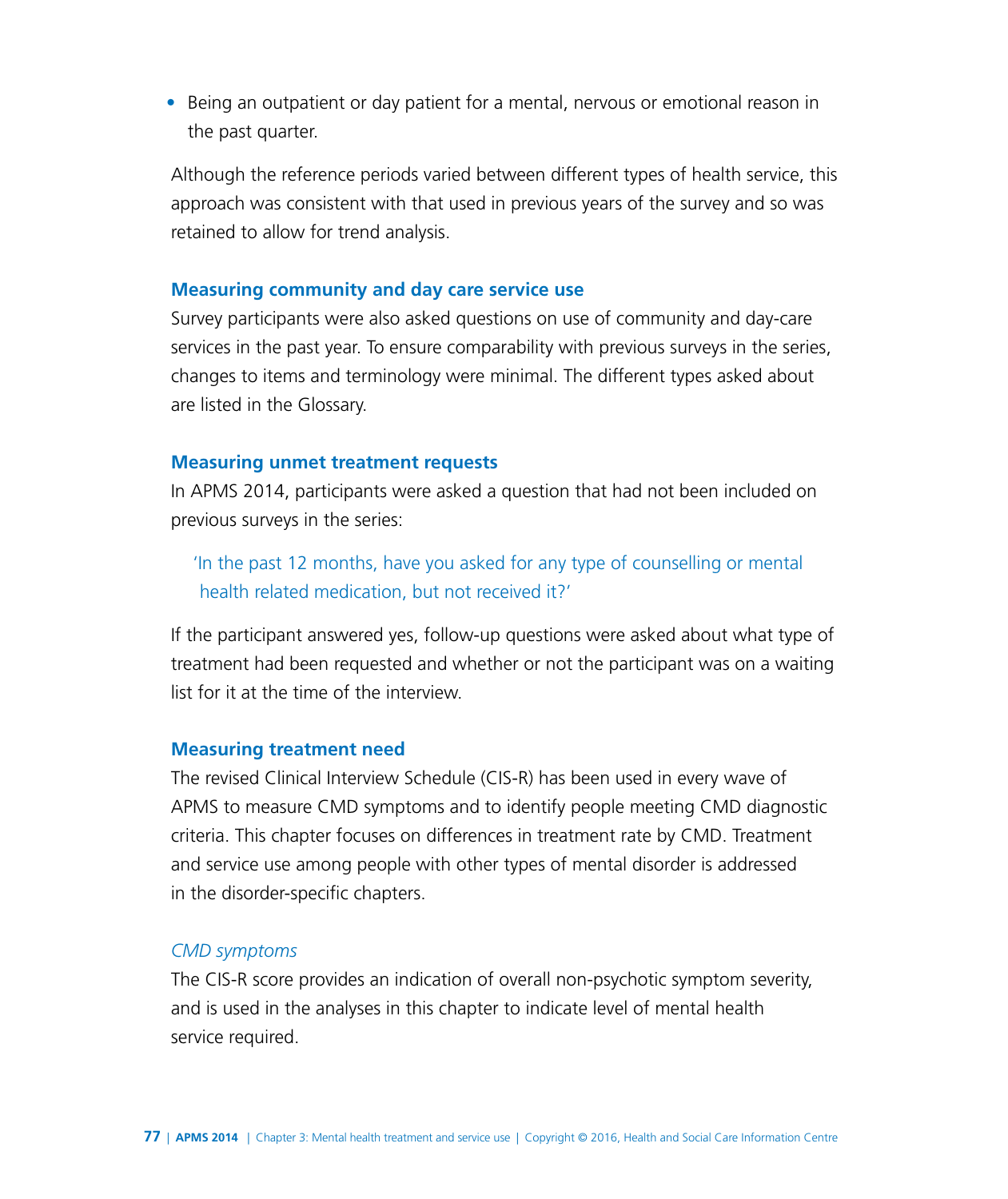• Being an outpatient or day patient for a mental, nervous or emotional reason in the past quarter.

Although the reference periods varied between different types of health service, this approach was consistent with that used in previous years of the survey and so was retained to allow for trend analysis.

#### **Measuring community and day care service use**

Survey participants were also asked questions on use of community and day-care services in the past year. To ensure comparability with previous surveys in the series, changes to items and terminology were minimal. The different types asked about are listed in the Glossary.

#### **Measuring unmet treatment requests**

In APMS 2014, participants were asked a question that had not been included on previous surveys in the series:

'In the past 12 months, have you asked for any type of counselling or mental health related medication, but not received it?'

If the participant answered yes, follow-up questions were asked about what type of treatment had been requested and whether or not the participant was on a waiting list for it at the time of the interview.

#### **Measuring treatment need**

The revised Clinical Interview Schedule (CIS-R) has been used in every wave of APMS to measure CMD symptoms and to identify people meeting CMD diagnostic criteria. This chapter focuses on differences in treatment rate by CMD. Treatment and service use among people with other types of mental disorder is addressed in the disorder-specific chapters.

#### *CMD symptoms*

The CIS-R score provides an indication of overall non-psychotic symptom severity, and is used in the analyses in this chapter to indicate level of mental health service required.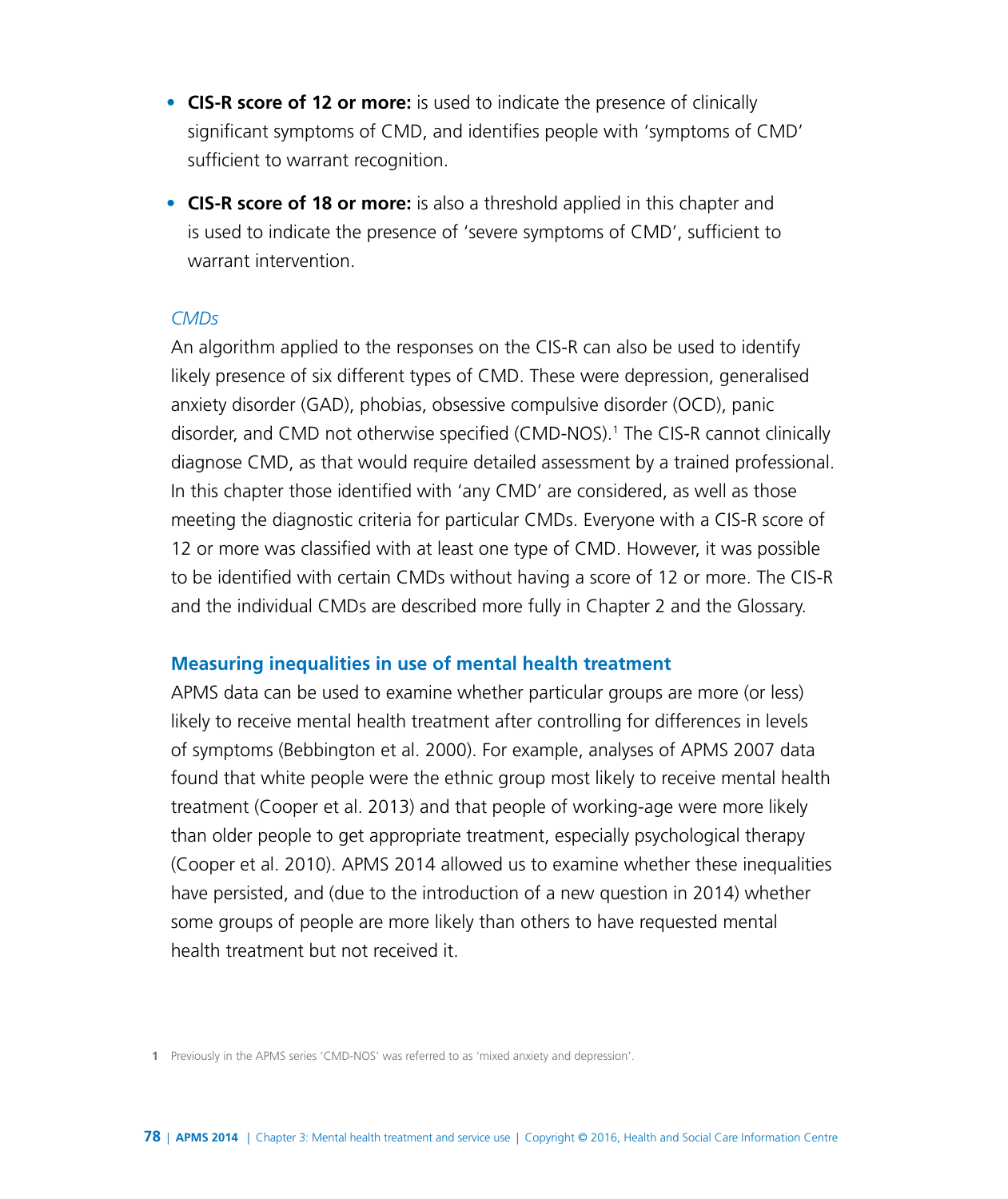- **CIS-R score of 12 or more:** is used to indicate the presence of clinically significant symptoms of CMD, and identifies people with 'symptoms of CMD' sufficient to warrant recognition.
- **CIS-R score of 18 or more:** is also a threshold applied in this chapter and is used to indicate the presence of 'severe symptoms of CMD', sufficient to warrant intervention.

#### *CMDs*

An algorithm applied to the responses on the CIS-R can also be used to identify likely presence of six different types of CMD. These were depression, generalised anxiety disorder (GAD), phobias, obsessive compulsive disorder (OCD), panic disorder, and CMD not otherwise specified (CMD-NOS).1 The CIS-R cannot clinically diagnose CMD, as that would require detailed assessment by a trained professional. In this chapter those identified with 'any CMD' are considered, as well as those meeting the diagnostic criteria for particular CMDs. Everyone with a CIS-R score of 12 or more was classified with at least one type of CMD. However, it was possible to be identified with certain CMDs without having a score of 12 or more. The CIS-R and the individual CMDs are described more fully in Chapter 2 and the Glossary.

#### **Measuring inequalities in use of mental health treatment**

APMS data can be used to examine whether particular groups are more (or less) likely to receive mental health treatment after controlling for differences in levels of symptoms (Bebbington et al. 2000). For example, analyses of APMS 2007 data found that white people were the ethnic group most likely to receive mental health treatment (Cooper et al. 2013) and that people of working-age were more likely than older people to get appropriate treatment, especially psychological therapy (Cooper et al. 2010). APMS 2014 allowed us to examine whether these inequalities have persisted, and (due to the introduction of a new question in 2014) whether some groups of people are more likely than others to have requested mental health treatment but not received it.

**1** Previously in the APMS series 'CMD-NOS' was referred to as 'mixed anxiety and depression'.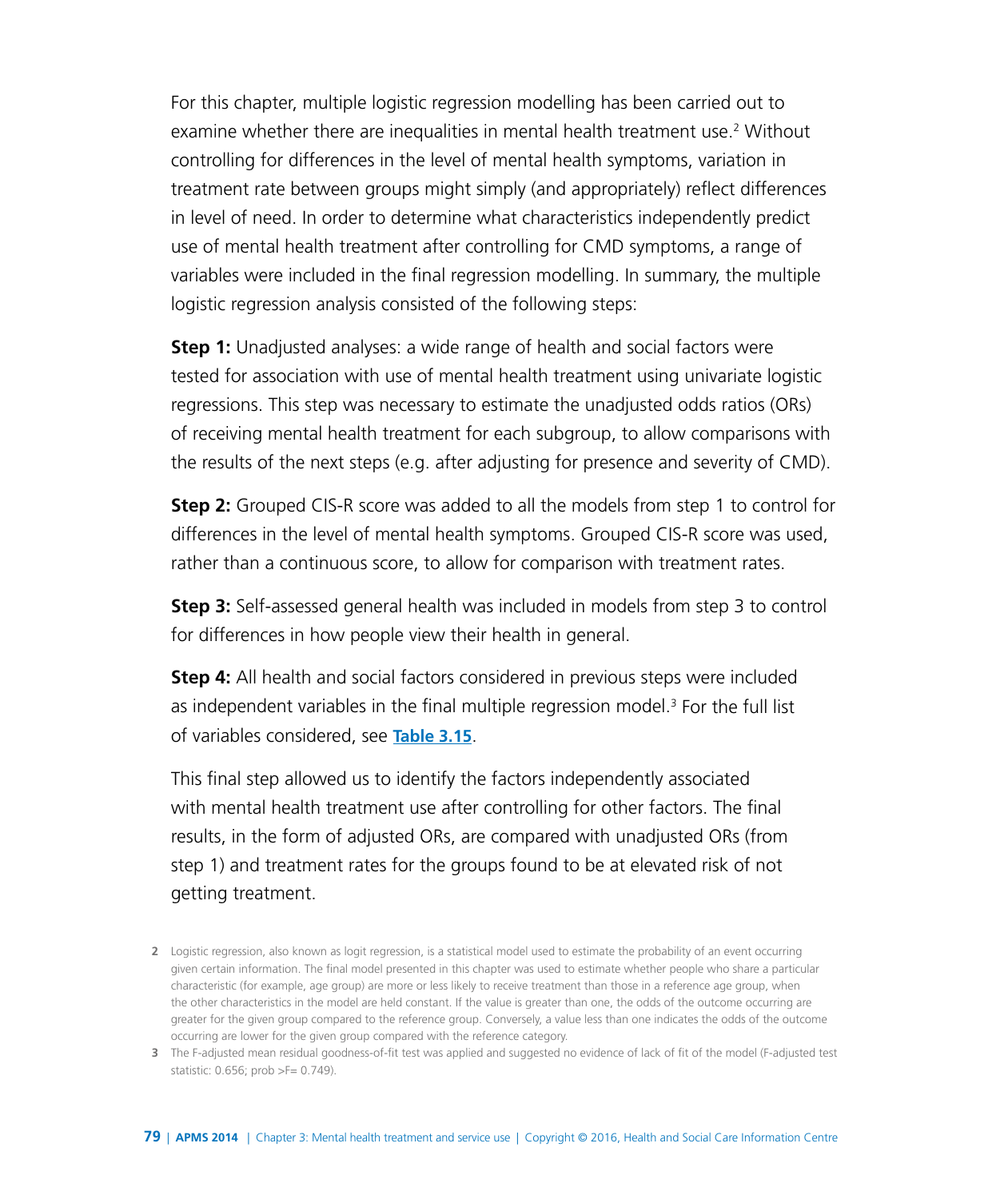For this chapter, multiple logistic regression modelling has been carried out to examine whether there are inequalities in mental health treatment use.<sup>2</sup> Without controlling for differences in the level of mental health symptoms, variation in treatment rate between groups might simply (and appropriately) reflect differences in level of need. In order to determine what characteristics independently predict use of mental health treatment after controlling for CMD symptoms, a range of variables were included in the final regression modelling. In summary, the multiple logistic regression analysis consisted of the following steps:

**Step 1:** Unadjusted analyses: a wide range of health and social factors were tested for association with use of mental health treatment using univariate logistic regressions. This step was necessary to estimate the unadjusted odds ratios (ORs) of receiving mental health treatment for each subgroup, to allow comparisons with the results of the next steps (e.g. after adjusting for presence and severity of CMD).

**Step 2:** Grouped CIS-R score was added to all the models from step 1 to control for differences in the level of mental health symptoms. Grouped CIS-R score was used, rather than a continuous score, to allow for comparison with treatment rates.

**Step 3:** Self-assessed general health was included in models from step 3 to control for differences in how people view their health in general.

**Step 4:** All health and social factors considered in previous steps were included as independent variables in the final multiple regression model.<sup>3</sup> For the full list of variables considered, see **[Table 3.15](http://www.digital.nhs.uk/catalogue/PUB21748/apms-2014-ch-03-tabs.xls )**.

This final step allowed us to identify the factors independently associated with mental health treatment use after controlling for other factors. The final results, in the form of adjusted ORs, are compared with unadjusted ORs (from step 1) and treatment rates for the groups found to be at elevated risk of not getting treatment.

**<sup>2</sup>** Logistic regression, also known as logit regression, is a statistical model used to estimate the probability of an event occurring given certain information. The final model presented in this chapter was used to estimate whether people who share a particular characteristic (for example, age group) are more or less likely to receive treatment than those in a reference age group, when the other characteristics in the model are held constant. If the value is greater than one, the odds of the outcome occurring are greater for the given group compared to the reference group. Conversely, a value less than one indicates the odds of the outcome occurring are lower for the given group compared with the reference category.

**<sup>3</sup>** The F-adjusted mean residual goodness-of-fit test was applied and suggested no evidence of lack of fit of the model (F-adjusted test statistic: 0.656; prob >F= 0.749).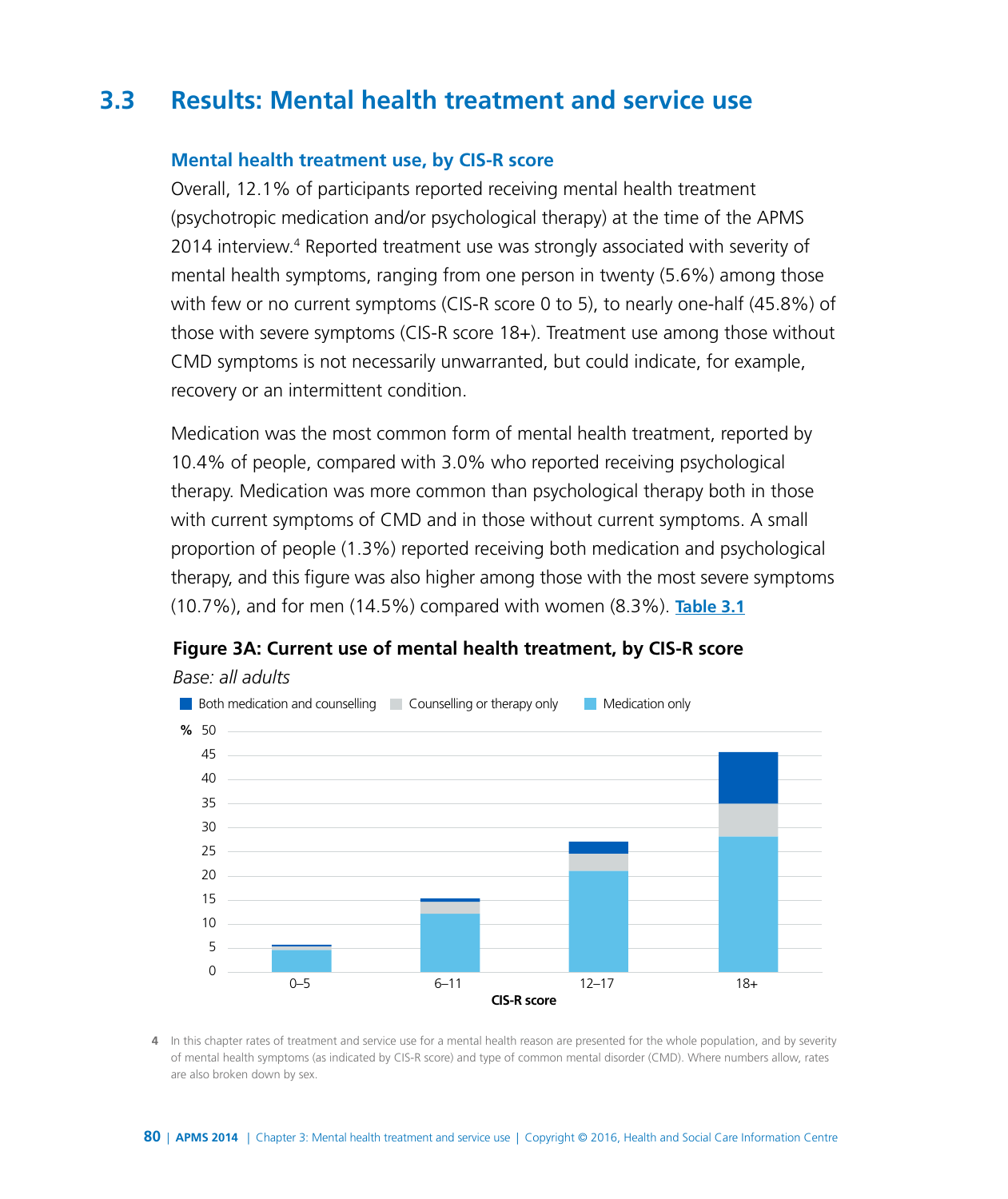# **3.3 Results: Mental health treatment and service use**

#### **Mental health treatment use, by CIS-R score**

Overall, 12.1% of participants reported receiving mental health treatment (psychotropic medication and/or psychological therapy) at the time of the APMS 2014 interview.<sup>4</sup> Reported treatment use was strongly associated with severity of mental health symptoms, ranging from one person in twenty (5.6%) among those with few or no current symptoms (CIS-R score 0 to 5), to nearly one-half (45.8%) of those with severe symptoms (CIS-R score 18+). Treatment use among those without CMD symptoms is not necessarily unwarranted, but could indicate, for example, recovery or an intermittent condition.

Medication was the most common form of mental health treatment, reported by 10.4% of people, compared with 3.0% who reported receiving psychological therapy. Medication was more common than psychological therapy both in those with current symptoms of CMD and in those without current symptoms. A small proportion of people (1.3%) reported receiving both medication and psychological therapy, and this figure was also higher among those with the most severe symptoms (10.7%), and for men (14.5%) compared with women (8.3%). **[Table 3.1](http://www.digital.nhs.uk/catalogue/PUB21748/apms-2014-ch-03-tabs.xls )**



#### **Figure 3A: Current use of mental health treatment, by CIS-R score**

**4** In this chapter rates of treatment and service use for a mental health reason are presented for the whole population, and by severity of mental health symptoms (as indicated by CIS-R score) and type of common mental disorder (CMD). Where numbers allow, rates are also broken down by sex.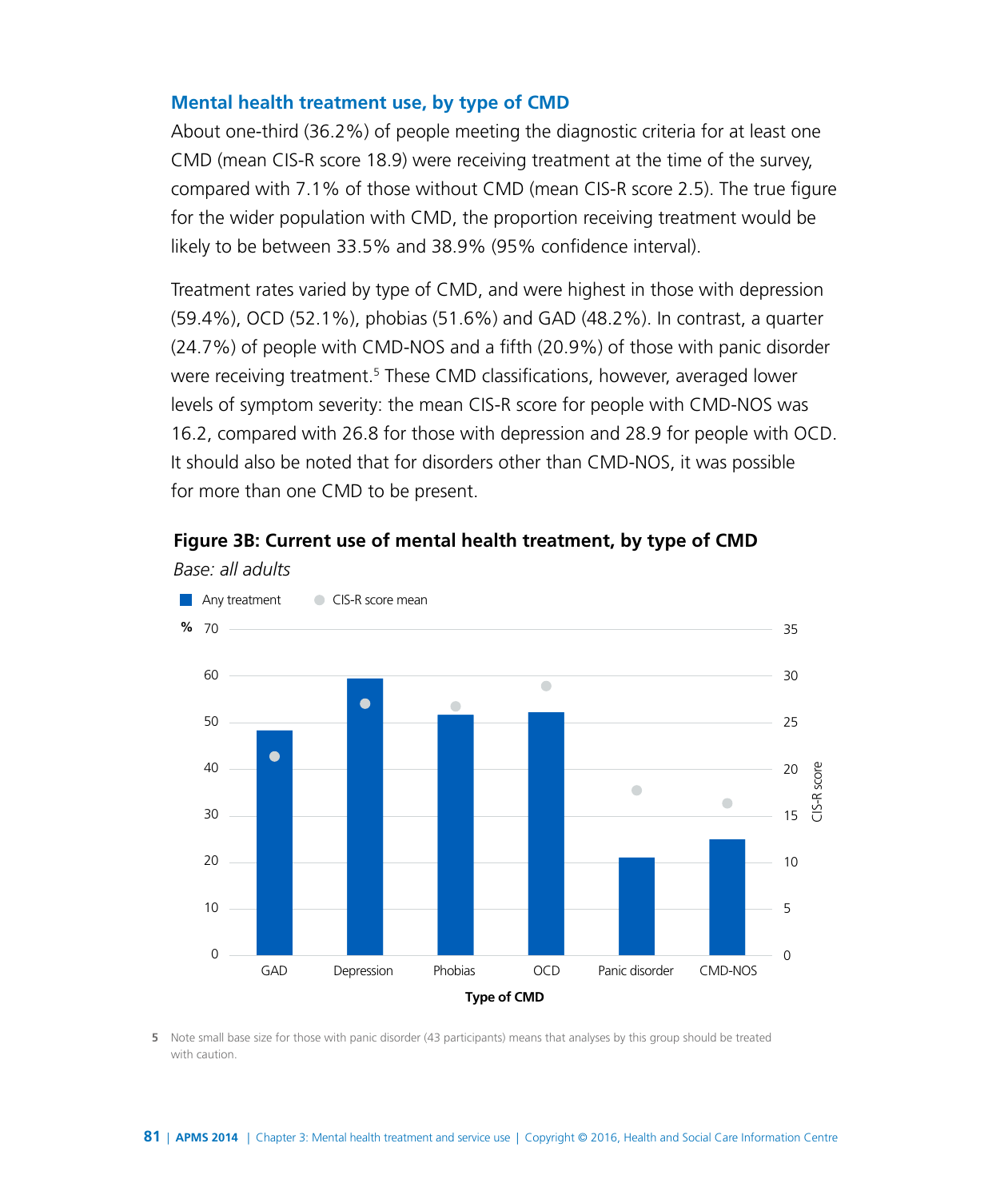#### **Mental health treatment use, by type of CMD**

About one-third (36.2%) of people meeting the diagnostic criteria for at least one CMD (mean CIS-R score 18.9) were receiving treatment at the time of the survey, compared with 7.1% of those without CMD (mean CIS-R score 2.5). The true figure for the wider population with CMD, the proportion receiving treatment would be likely to be between 33.5% and 38.9% (95% confidence interval).

Treatment rates varied by type of CMD, and were highest in those with depression (59.4%), OCD (52.1%), phobias (51.6%) and GAD (48.2%). In contrast, a quarter (24.7%) of people with CMD-NOS and a fifth (20.9%) of those with panic disorder were receiving treatment.<sup>5</sup> These CMD classifications, however, averaged lower levels of symptom severity: the mean CIS-R score for people with CMD-NOS was 16.2, compared with 26.8 for those with depression and 28.9 for people with OCD. It should also be noted that for disorders other than CMD-NOS, it was possible for more than one CMD to be present.

#### **Figure 3B: Current use of mental health treatment, by type of CMD**



*Base: all adults*

**5** Note small base size for those with panic disorder (43 participants) means that analyses by this group should be treated with caution.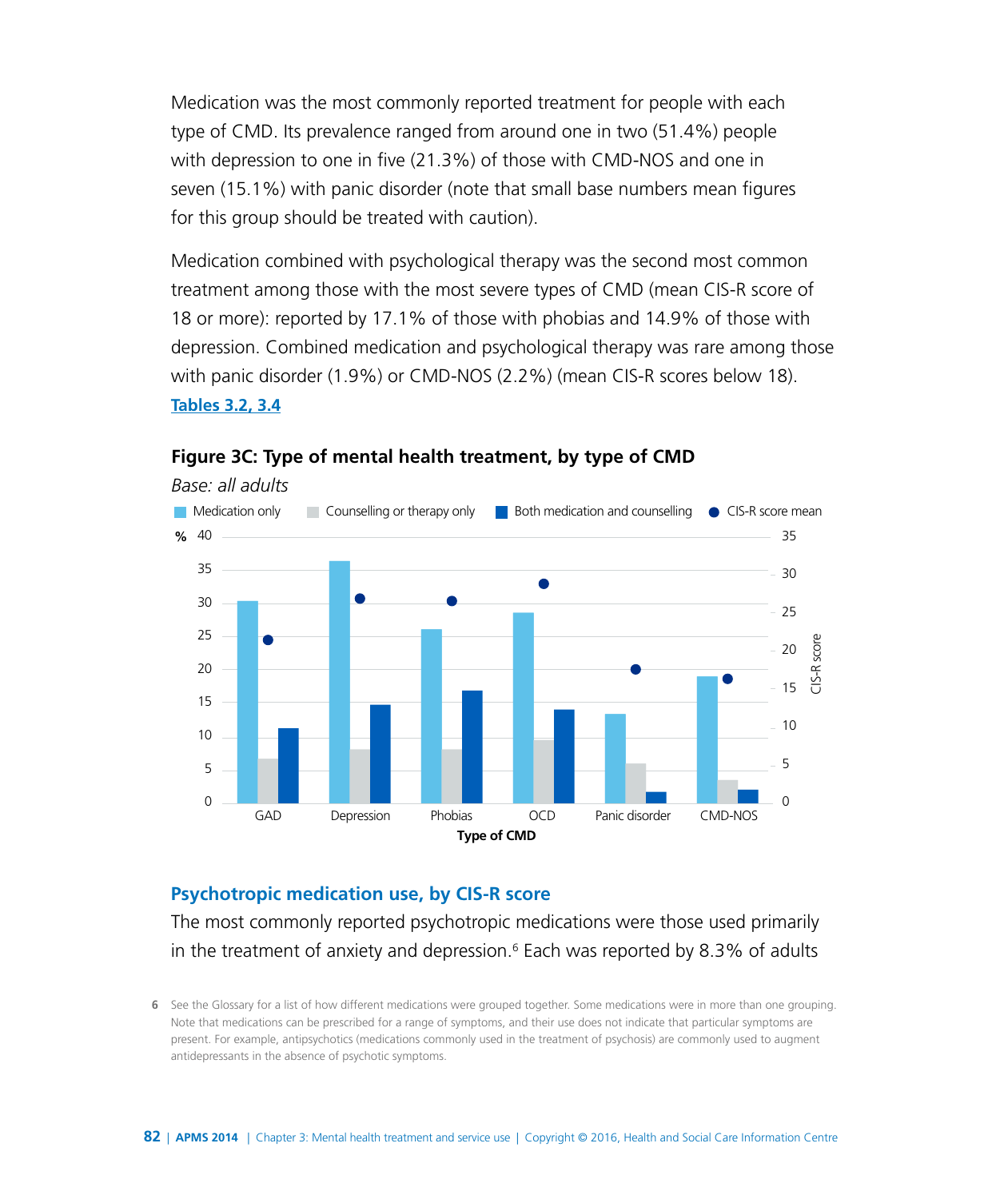Medication was the most commonly reported treatment for people with each type of CMD. Its prevalence ranged from around one in two (51.4%) people with depression to one in five (21.3%) of those with CMD-NOS and one in seven (15.1%) with panic disorder (note that small base numbers mean figures for this group should be treated with caution).

Medication combined with psychological therapy was the second most common treatment among those with the most severe types of CMD (mean CIS-R score of 18 or more): reported by 17.1% of those with phobias and 14.9% of those with depression. Combined medication and psychological therapy was rare among those with panic disorder (1.9%) or CMD-NOS (2.2%) (mean CIS-R scores below 18). **[Tables 3.2, 3.4](http://www.digital.nhs.uk/catalogue/PUB21748/apms-2014-ch-03-tabs.xls )**



#### **Figure 3C: Type of mental health treatment, by type of CMD**

#### **Psychotropic medication use, by CIS-R score**

The most commonly reported psychotropic medications were those used primarily in the treatment of anxiety and depression.<sup>6</sup> Each was reported by 8.3% of adults

**<sup>6</sup>** See the Glossary for a list of how different medications were grouped together. Some medications were in more than one grouping. Note that medications can be prescribed for a range of symptoms, and their use does not indicate that particular symptoms are present. For example, antipsychotics (medications commonly used in the treatment of psychosis) are commonly used to augment antidepressants in the absence of psychotic symptoms.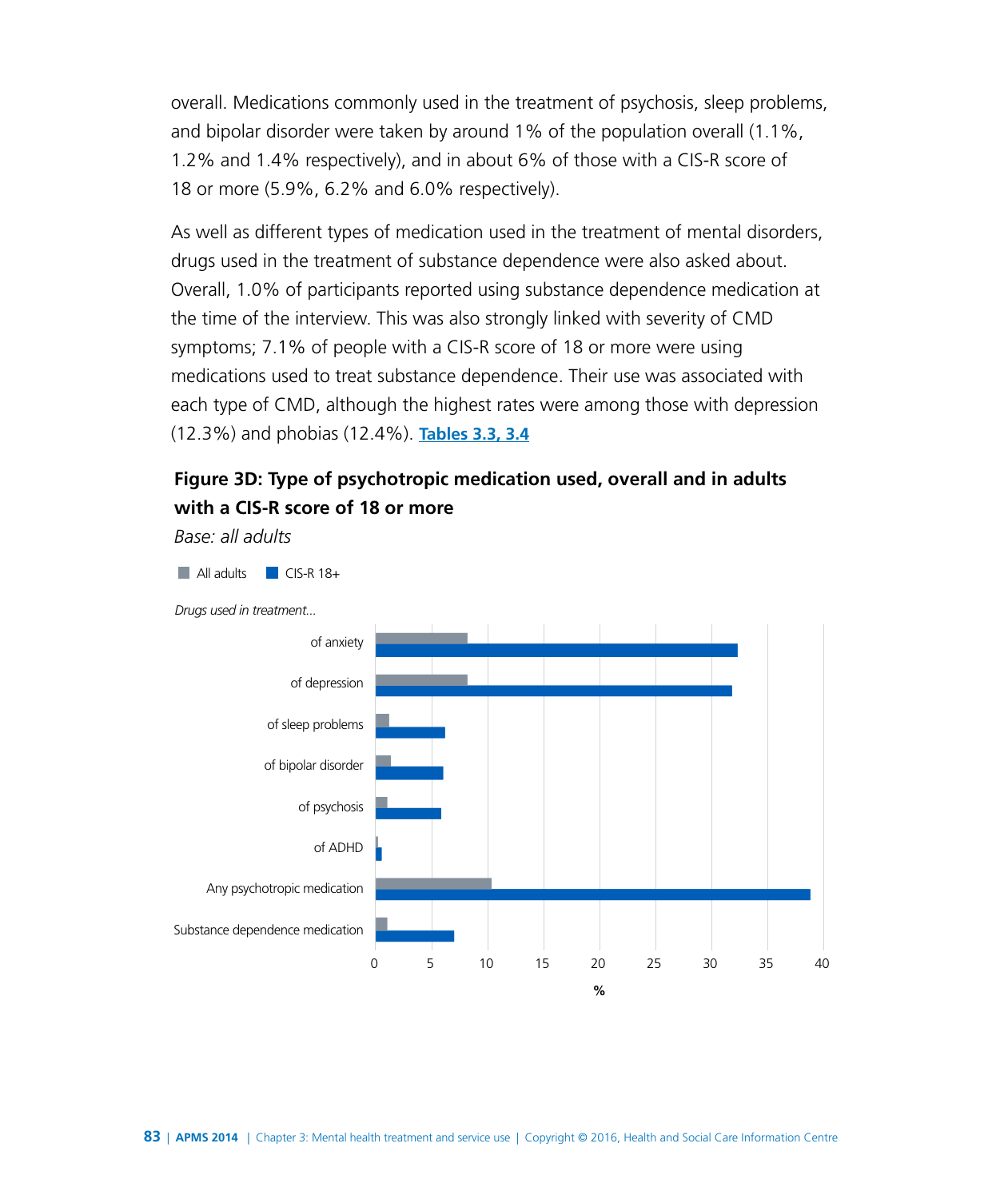overall. Medications commonly used in the treatment of psychosis, sleep problems, and bipolar disorder were taken by around 1% of the population overall (1.1%, 1.2% and 1.4% respectively), and in about 6% of those with a CIS-R score of 18 or more (5.9%, 6.2% and 6.0% respectively).

As well as different types of medication used in the treatment of mental disorders, drugs used in the treatment of substance dependence were also asked about. Overall, 1.0% of participants reported using substance dependence medication at the time of the interview. This was also strongly linked with severity of CMD symptoms; 7.1% of people with a CIS-R score of 18 or more were using medications used to treat substance dependence. Their use was associated with each type of CMD, although the highest rates were among those with depression (12.3%) and phobias (12.4%). **[Tables 3.3, 3.4](http://www.digital.nhs.uk/catalogue/PUB21748/apms-2014-ch-03-tabs.xls )**

# **Figure 3D: Type of psychotropic medication used, overall and in adults with a CIS-R score of 18 or more**

*Base: all adults*

All adults CIS-R 18+



*Drugs used in treatment...*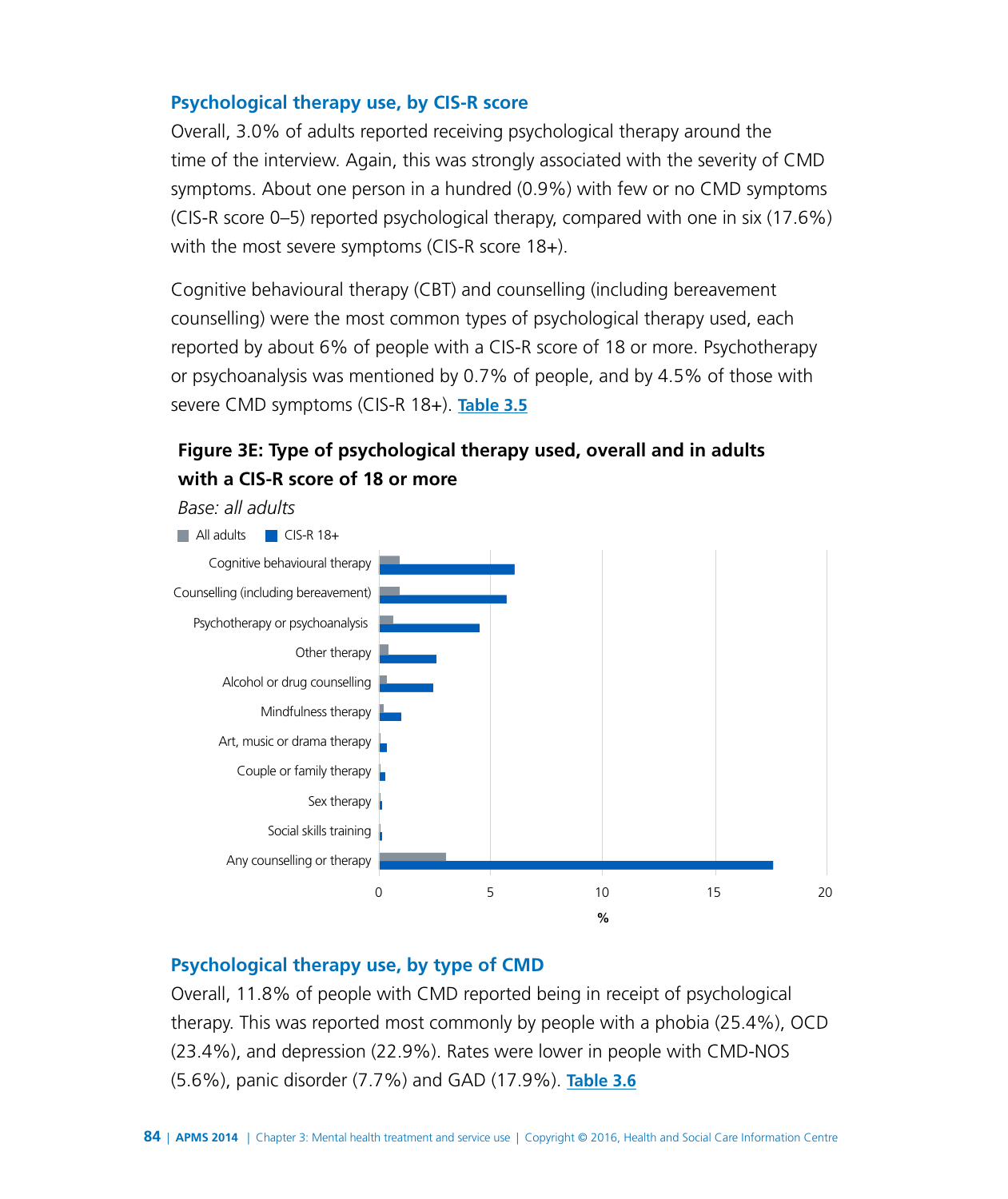#### **Psychological therapy use, by CIS-R score**

Overall, 3.0% of adults reported receiving psychological therapy around the time of the interview. Again, this was strongly associated with the severity of CMD symptoms. About one person in a hundred (0.9%) with few or no CMD symptoms (CIS-R score 0–5) reported psychological therapy, compared with one in six (17.6%) with the most severe symptoms (CIS-R score 18+).

Cognitive behavioural therapy (CBT) and counselling (including bereavement counselling) were the most common types of psychological therapy used, each reported by about 6% of people with a CIS-R score of 18 or more. Psychotherapy or psychoanalysis was mentioned by 0.7% of people, and by 4.5% of those with severe CMD symptoms (CIS-R 18+). **[Table 3.5](http://www.digital.nhs.uk/catalogue/PUB21748/apms-2014-ch-03-tabs.xls )**

# **Figure 3E: Type of psychological therapy used, overall and in adults with a CIS-R score of 18 or more**



#### **Psychological therapy use, by type of CMD**

Overall, 11.8% of people with CMD reported being in receipt of psychological therapy. This was reported most commonly by people with a phobia (25.4%), OCD (23.4%), and depression (22.9%). Rates were lower in people with CMD-NOS (5.6%), panic disorder (7.7%) and GAD (17.9%). **[Table 3.6](http://www.digital.nhs.uk/catalogue/PUB21748/apms-2014-ch-03-tabs.xls )**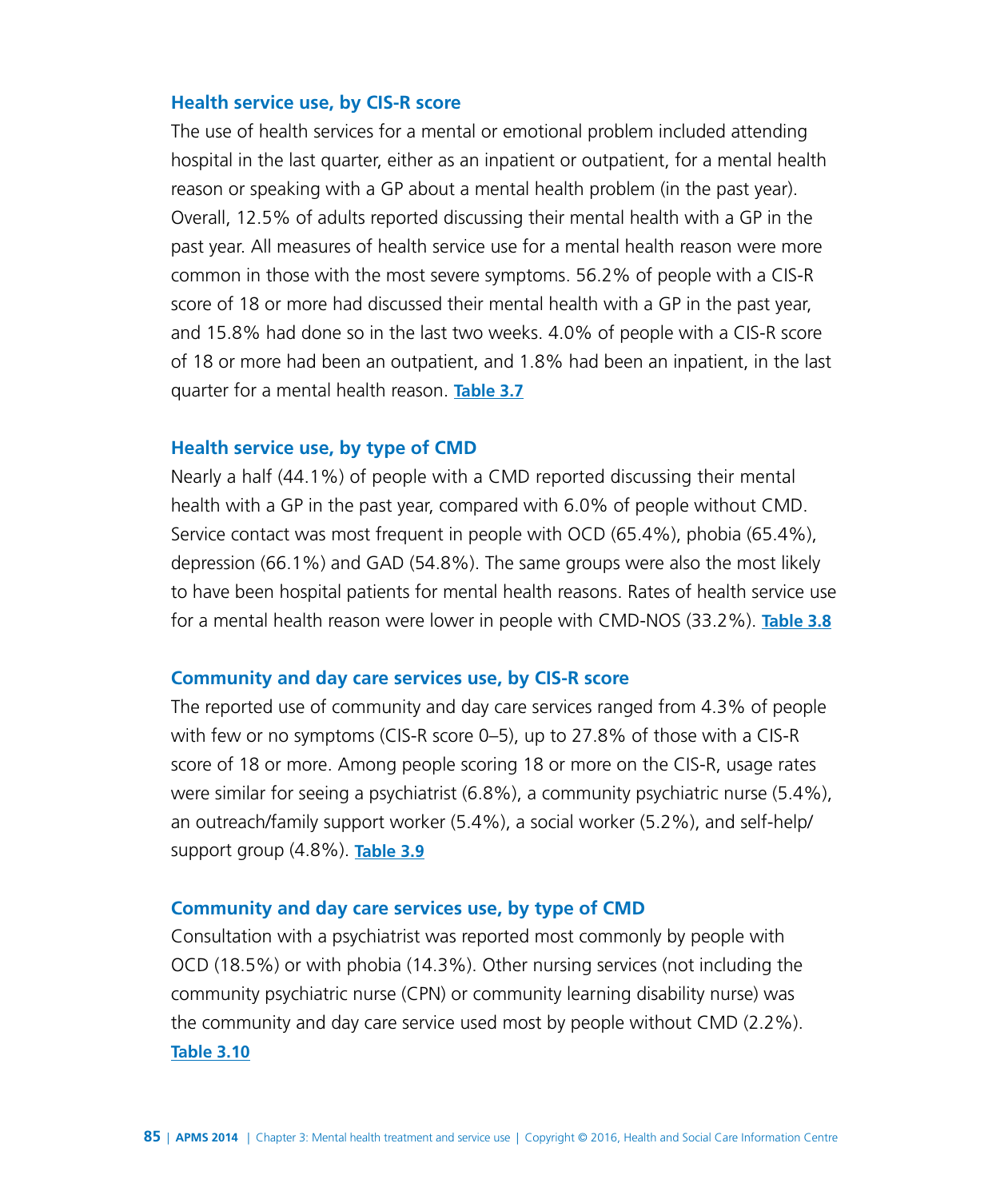#### **Health service use, by CIS-R score**

The use of health services for a mental or emotional problem included attending hospital in the last quarter, either as an inpatient or outpatient, for a mental health reason or speaking with a GP about a mental health problem (in the past year). Overall, 12.5% of adults reported discussing their mental health with a GP in the past year. All measures of health service use for a mental health reason were more common in those with the most severe symptoms. 56.2% of people with a CIS-R score of 18 or more had discussed their mental health with a GP in the past year, and 15.8% had done so in the last two weeks. 4.0% of people with a CIS-R score of 18 or more had been an outpatient, and 1.8% had been an inpatient, in the last quarter for a mental health reason. **[Table 3.7](http://www.digital.nhs.uk/catalogue/PUB21748/apms-2014-ch-03-tabs.xls )**

#### **Health service use, by type of CMD**

Nearly a half (44.1%) of people with a CMD reported discussing their mental health with a GP in the past year, compared with 6.0% of people without CMD. Service contact was most frequent in people with OCD (65.4%), phobia (65.4%), depression (66.1%) and GAD (54.8%). The same groups were also the most likely to have been hospital patients for mental health reasons. Rates of health service use for a mental health reason were lower in people with CMD-NOS (33.2%). **[Table 3.8](http://www.digital.nhs.uk/catalogue/PUB21748/apms-2014-ch-03-tabs.xls )**

#### **Community and day care services use, by CIS-R score**

The reported use of community and day care services ranged from 4.3% of people with few or no symptoms (CIS-R score 0–5), up to 27.8% of those with a CIS-R score of 18 or more. Among people scoring 18 or more on the CIS-R, usage rates were similar for seeing a psychiatrist (6.8%), a community psychiatric nurse (5.4%), an outreach/family support worker (5.4%), a social worker (5.2%), and self-help/ support group (4.8%). **[Table 3.9](http://www.digital.nhs.uk/catalogue/PUB21748/apms-2014-ch-03-tabs.xls )**

#### **Community and day care services use, by type of CMD**

Consultation with a psychiatrist was reported most commonly by people with OCD (18.5%) or with phobia (14.3%). Other nursing services (not including the community psychiatric nurse (CPN) or community learning disability nurse) was the community and day care service used most by people without CMD (2.2%). **[Table 3.10](http://www.digital.nhs.uk/catalogue/PUB21748/apms-2014-ch-03-tabs.xls )**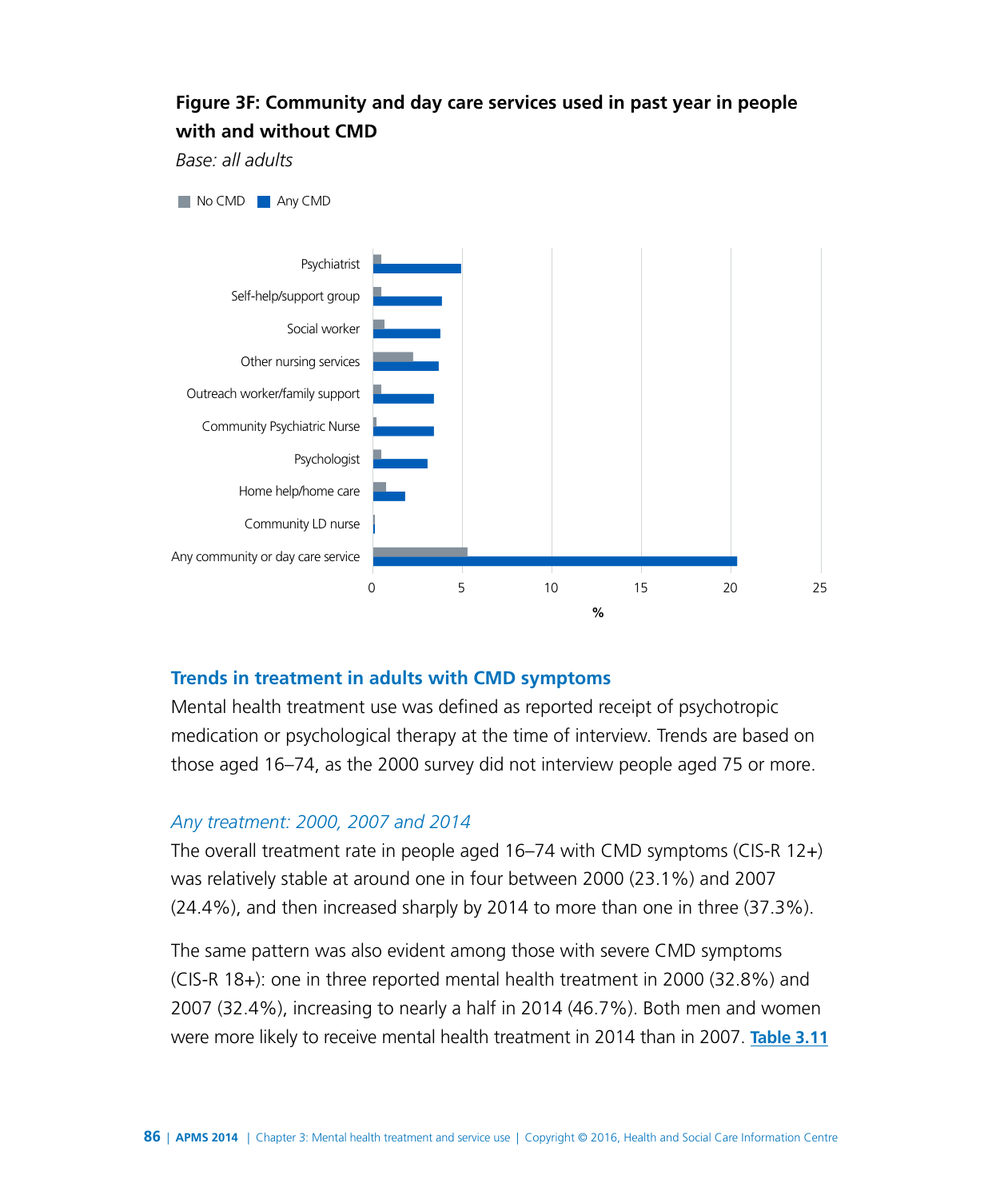## **Figure 3F: Community and day care services used in past year in people with and without CMD**

*Base: all adults*



#### **Trends in treatment in adults with CMD symptoms**

Mental health treatment use was defined as reported receipt of psychotropic medication or psychological therapy at the time of interview. Trends are based on those aged 16–74, as the 2000 survey did not interview people aged 75 or more.

#### *Any treatment: 2000, 2007 and 2014*

The overall treatment rate in people aged 16–74 with CMD symptoms (CIS-R 12+) was relatively stable at around one in four between 2000 (23.1%) and 2007 (24.4%), and then increased sharply by 2014 to more than one in three (37.3%).

The same pattern was also evident among those with severe CMD symptoms (CIS-R 18+): one in three reported mental health treatment in 2000 (32.8%) and 2007 (32.4%), increasing to nearly a half in 2014 (46.7%). Both men and women were more likely to receive mental health treatment in 2014 than in 2007. **[Table 3.11](http://www.digital.nhs.uk/catalogue/PUB21748/apms-2014-ch-03-tabs.xls )**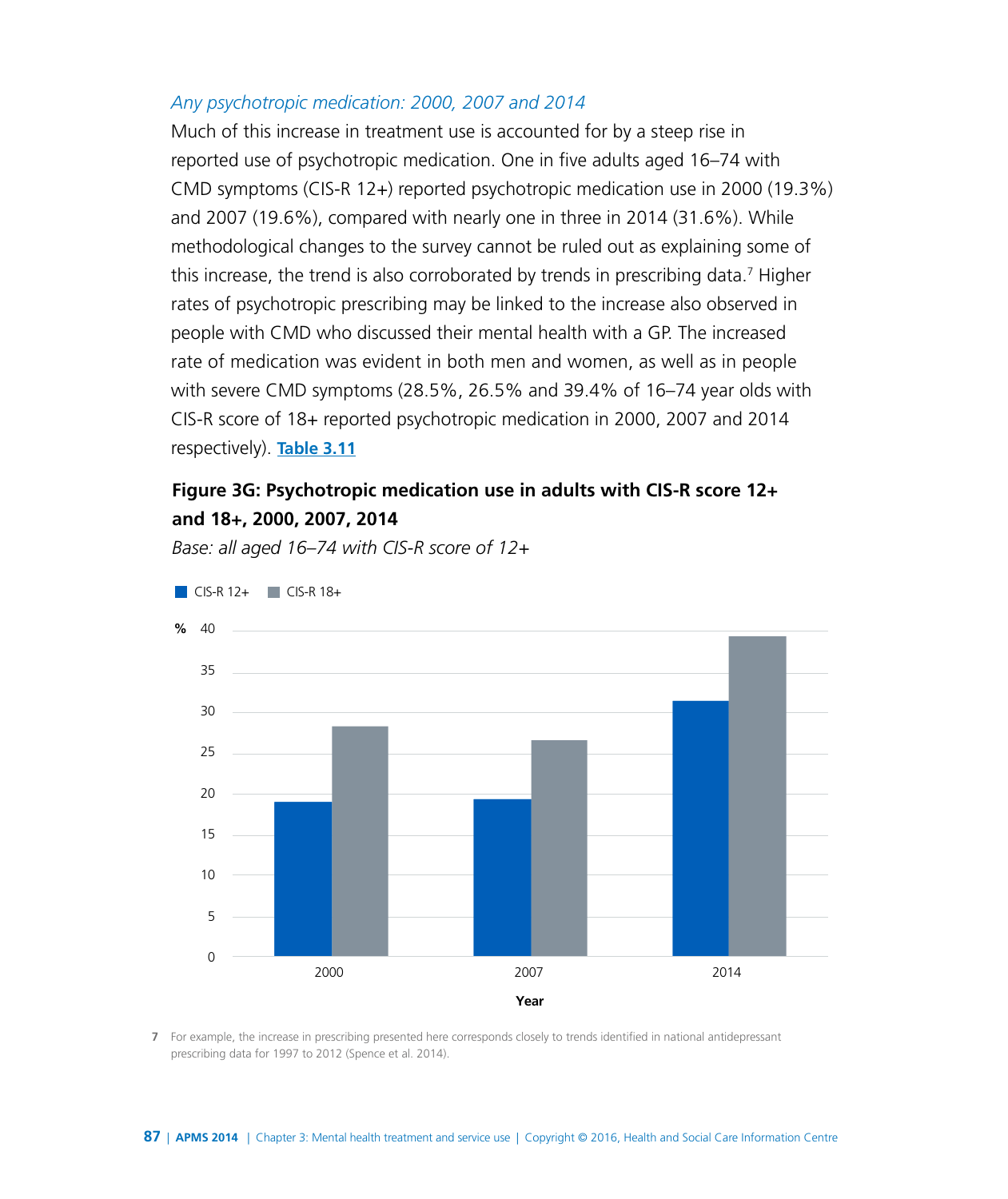#### *Any psychotropic medication: 2000, 2007 and 2014*

Much of this increase in treatment use is accounted for by a steep rise in reported use of psychotropic medication. One in five adults aged 16–74 with CMD symptoms (CIS-R 12+) reported psychotropic medication use in 2000 (19.3%) and 2007 (19.6%), compared with nearly one in three in 2014 (31.6%). While methodological changes to the survey cannot be ruled out as explaining some of this increase, the trend is also corroborated by trends in prescribing data.<sup>7</sup> Higher rates of psychotropic prescribing may be linked to the increase also observed in people with CMD who discussed their mental health with a GP. The increased rate of medication was evident in both men and women, as well as in people with severe CMD symptoms (28.5%, 26.5% and 39.4% of 16–74 year olds with CIS-R score of 18+ reported psychotropic medication in 2000, 2007 and 2014 respectively). **[Table 3.11](http://www.digital.nhs.uk/catalogue/PUB21748/apms-2014-ch-03-tabs.xls )**

## **Figure 3G: Psychotropic medication use in adults with CIS-R score 12+ and 18+, 2000, 2007, 2014**

CIS-R 12+ CIS-R 18+ **%** 40  $\Omega$ 5 10 15 20 25 30 35 2000 2007 2014 **Year** 

*Base: all aged 16–74 with CIS-R score of 12+*

**7** For example, the increase in prescribing presented here corresponds closely to trends identified in national antidepressant prescribing data for 1997 to 2012 (Spence et al. 2014).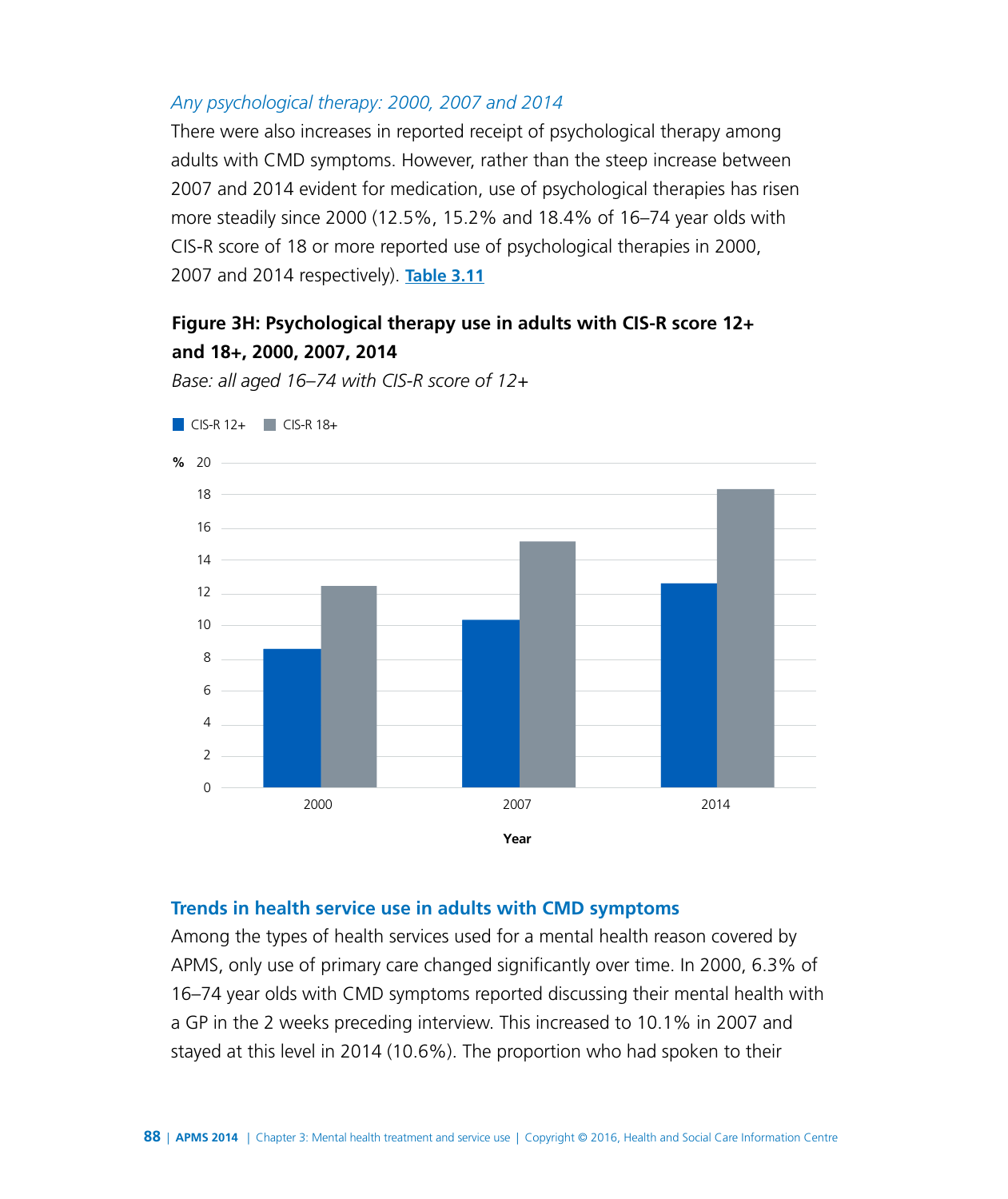#### *Any psychological therapy: 2000, 2007 and 2014*

There were also increases in reported receipt of psychological therapy among adults with CMD symptoms. However, rather than the steep increase between 2007 and 2014 evident for medication, use of psychological therapies has risen more steadily since 2000 (12.5%, 15.2% and 18.4% of 16–74 year olds with CIS-R score of 18 or more reported use of psychological therapies in 2000, 2007 and 2014 respectively). **[Table 3.11](http://www.digital.nhs.uk/catalogue/PUB21748/apms-2014-ch-03-tabs.xls )**

## **Figure 3H: Psychological therapy use in adults with CIS-R score 12+ and 18+, 2000, 2007, 2014**

*Base: all aged 16–74 with CIS-R score of 12+*



# **Trends in health service use in adults with CMD symptoms**

Among the types of health services used for a mental health reason covered by APMS, only use of primary care changed significantly over time. In 2000, 6.3% of 16–74 year olds with CMD symptoms reported discussing their mental health with a GP in the 2 weeks preceding interview. This increased to 10.1% in 2007 and stayed at this level in 2014 (10.6%). The proportion who had spoken to their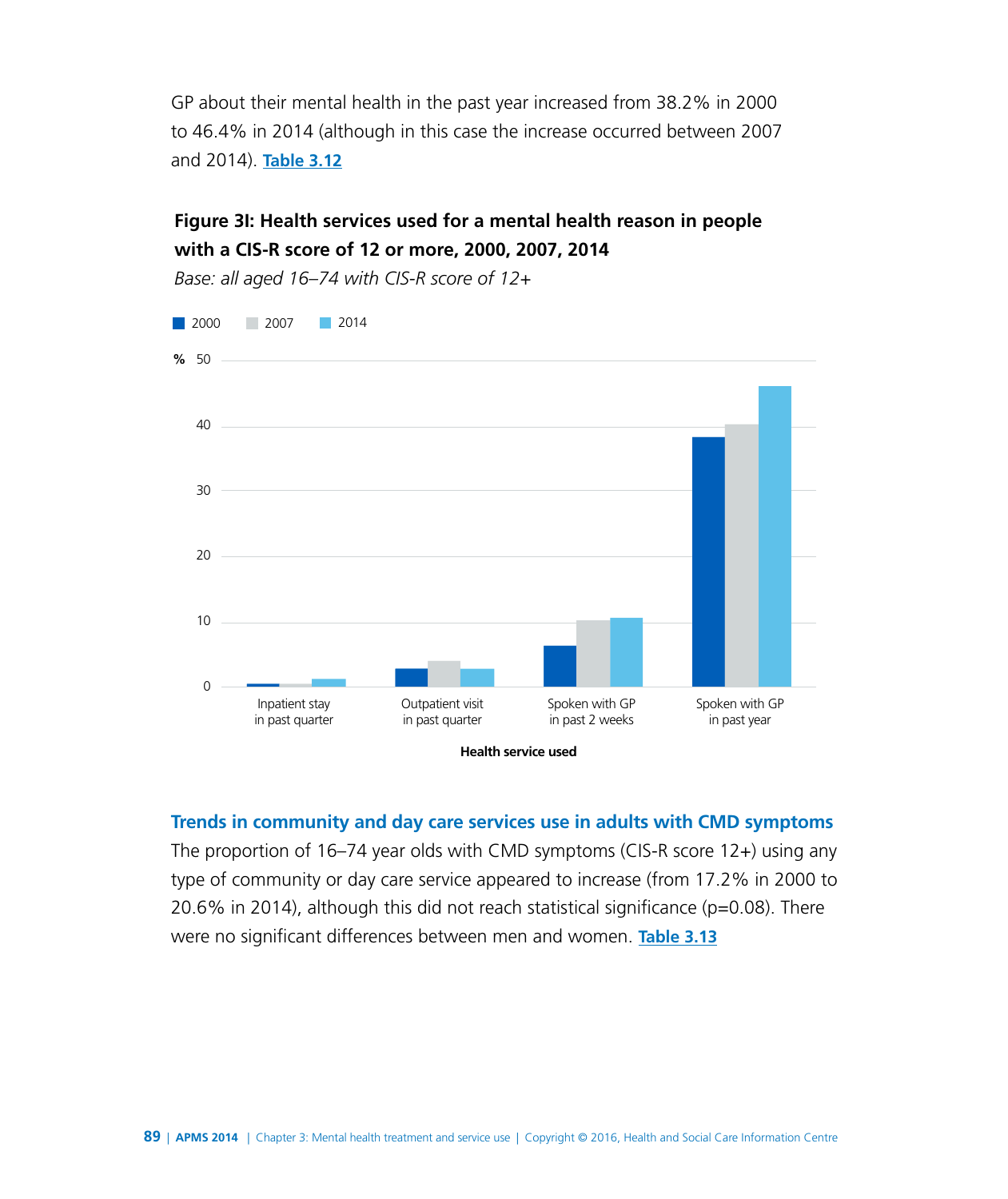GP about their mental health in the past year increased from 38.2% in 2000 to 46.4% in 2014 (although in this case the increase occurred between 2007 and 2014). **[Table 3.12](http://www.digital.nhs.uk/catalogue/PUB21748/apms-2014-ch-03-tabs.xls )**

## **Figure 3I: Health services used for a mental health reason in people with a CIS-R score of 12 or more, 2000, 2007, 2014**

 $\Omega$ 10 20 30 40 50 **%** Inpatient stay in past quarter Outpatient visit in past quarter Spoken with GP in past 2 weeks Spoken with GP in past year 2000 2007 2014

*Base: all aged 16–74 with CIS-R score of 12+*

**Health service used** 

**Trends in community and day care services use in adults with CMD symptoms**

The proportion of 16–74 year olds with CMD symptoms (CIS-R score 12+) using any type of community or day care service appeared to increase (from 17.2% in 2000 to 20.6% in 2014), although this did not reach statistical significance ( $p=0.08$ ). There were no significant differences between men and women. **[Table 3.13](http://www.digital.nhs.uk/catalogue/PUB21748/apms-2014-ch-03-tabs.xls )**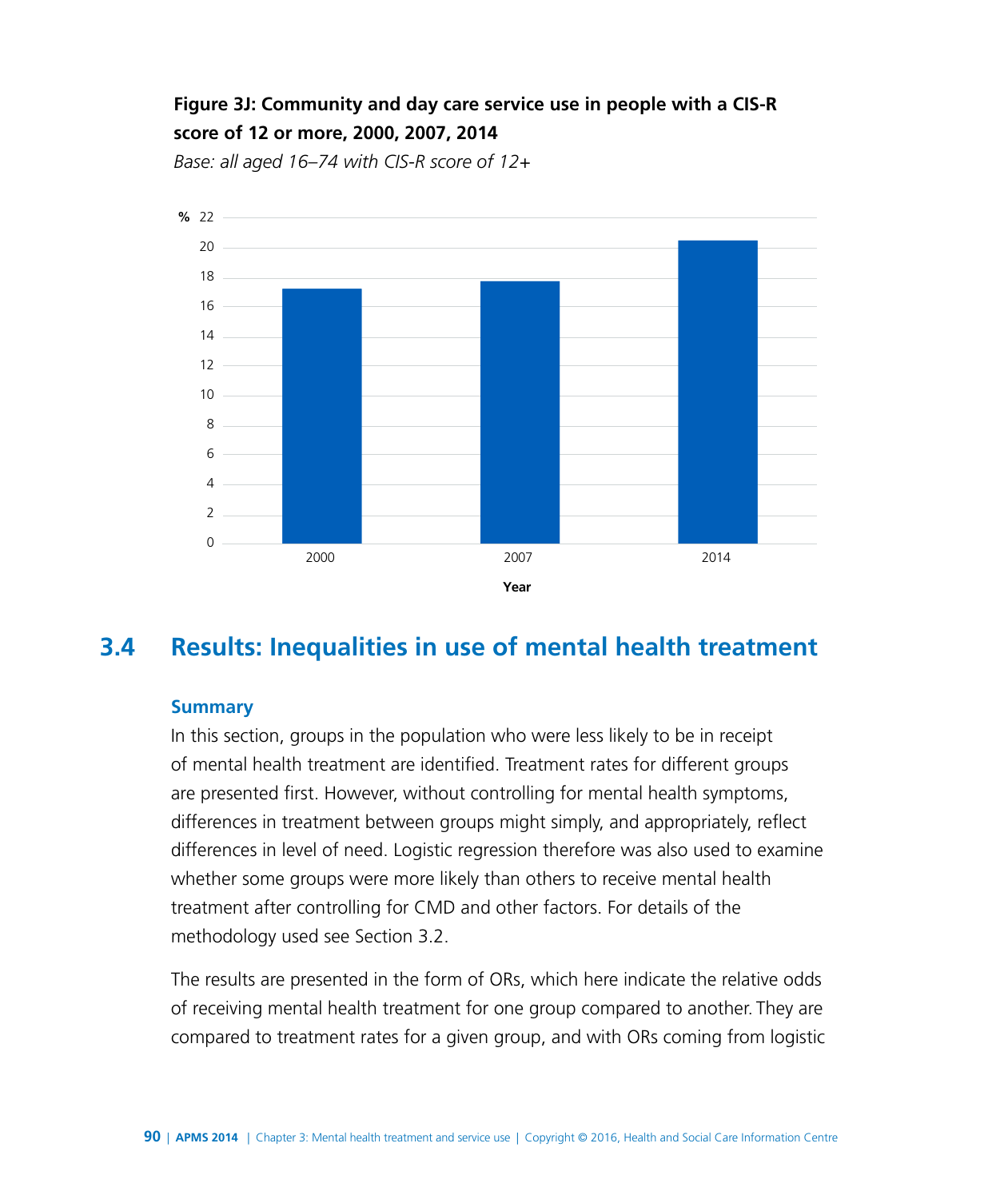# **Figure 3J: Community and day care service use in people with a CIS-R score of 12 or more, 2000, 2007, 2014**

*Base: all aged 16–74 with CIS-R score of 12+*

![](_page_21_Figure_2.jpeg)

# **3.4 Results: Inequalities in use of mental health treatment**

#### **Summary**

In this section, groups in the population who were less likely to be in receipt of mental health treatment are identified. Treatment rates for different groups are presented first. However, without controlling for mental health symptoms, differences in treatment between groups might simply, and appropriately, reflect differences in level of need. Logistic regression therefore was also used to examine whether some groups were more likely than others to receive mental health treatment after controlling for CMD and other factors. For details of the methodology used see Section 3.2.

The results are presented in the form of ORs, which here indicate the relative odds of receiving mental health treatment for one group compared to another. They are compared to treatment rates for a given group, and with ORs coming from logistic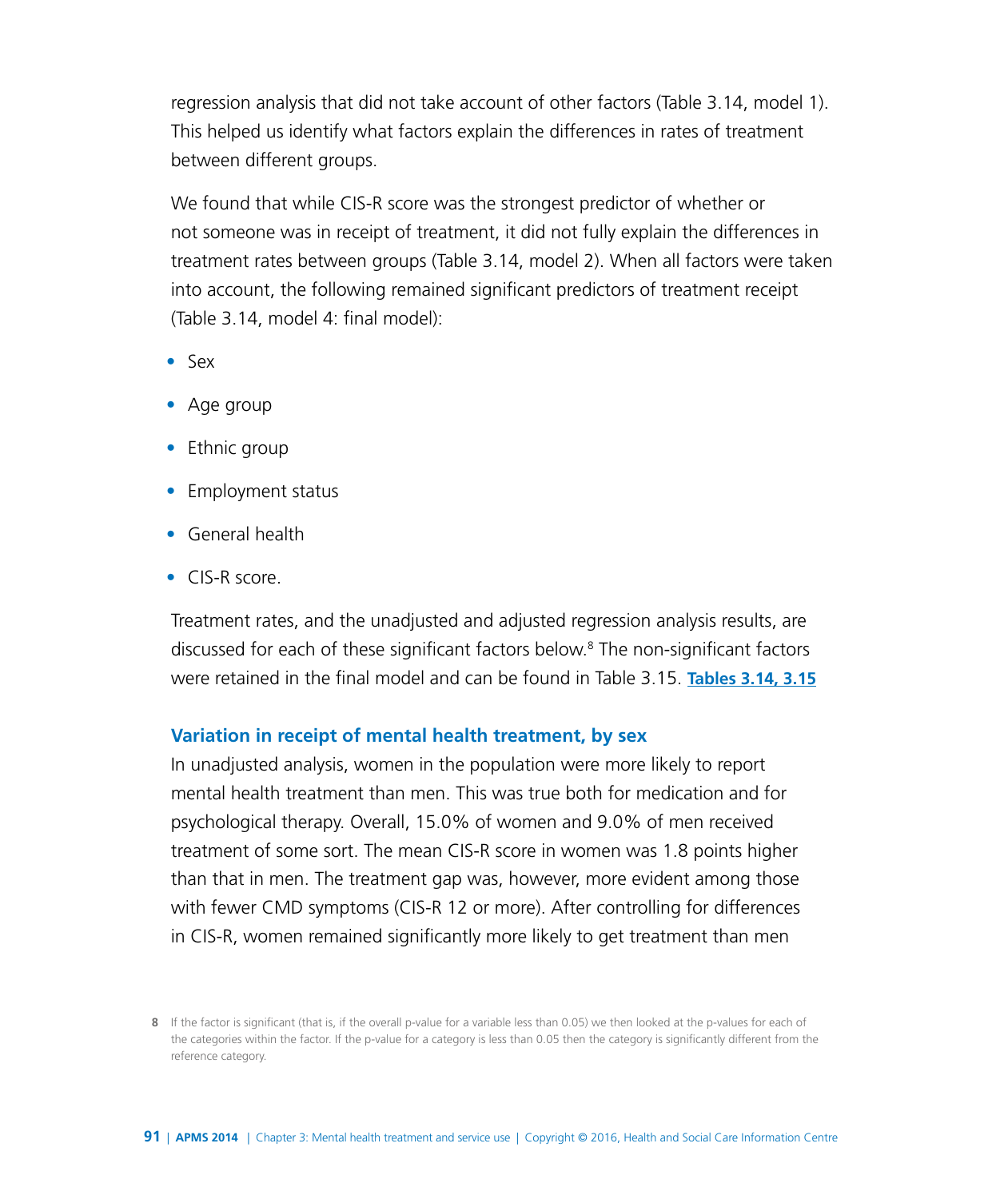regression analysis that did not take account of other factors (Table 3.14, model 1). This helped us identify what factors explain the differences in rates of treatment between different groups.

We found that while CIS-R score was the strongest predictor of whether or not someone was in receipt of treatment, it did not fully explain the differences in treatment rates between groups (Table 3.14, model 2). When all factors were taken into account, the following remained significant predictors of treatment receipt (Table 3.14, model 4: final model):

- Sex
- Age group
- Ethnic group
- Employment status
- General health
- CIS-R score.

Treatment rates, and the unadjusted and adjusted regression analysis results, are discussed for each of these significant factors below.8 The non-significant factors were retained in the final model and can be found in Table 3.15. **[Tables 3.14, 3.15](http://www.digital.nhs.uk/catalogue/PUB21748/apms-2014-ch-03-tabs.xls )**

#### **Variation in receipt of mental health treatment, by sex**

In unadjusted analysis, women in the population were more likely to report mental health treatment than men. This was true both for medication and for psychological therapy. Overall, 15.0% of women and 9.0% of men received treatment of some sort. The mean CIS-R score in women was 1.8 points higher than that in men. The treatment gap was, however, more evident among those with fewer CMD symptoms (CIS-R 12 or more). After controlling for differences in CIS-R, women remained significantly more likely to get treatment than men

**<sup>8</sup>** If the factor is significant (that is, if the overall p-value for a variable less than 0.05) we then looked at the p-values for each of the categories within the factor. If the p-value for a category is less than 0.05 then the category is significantly different from the reference category.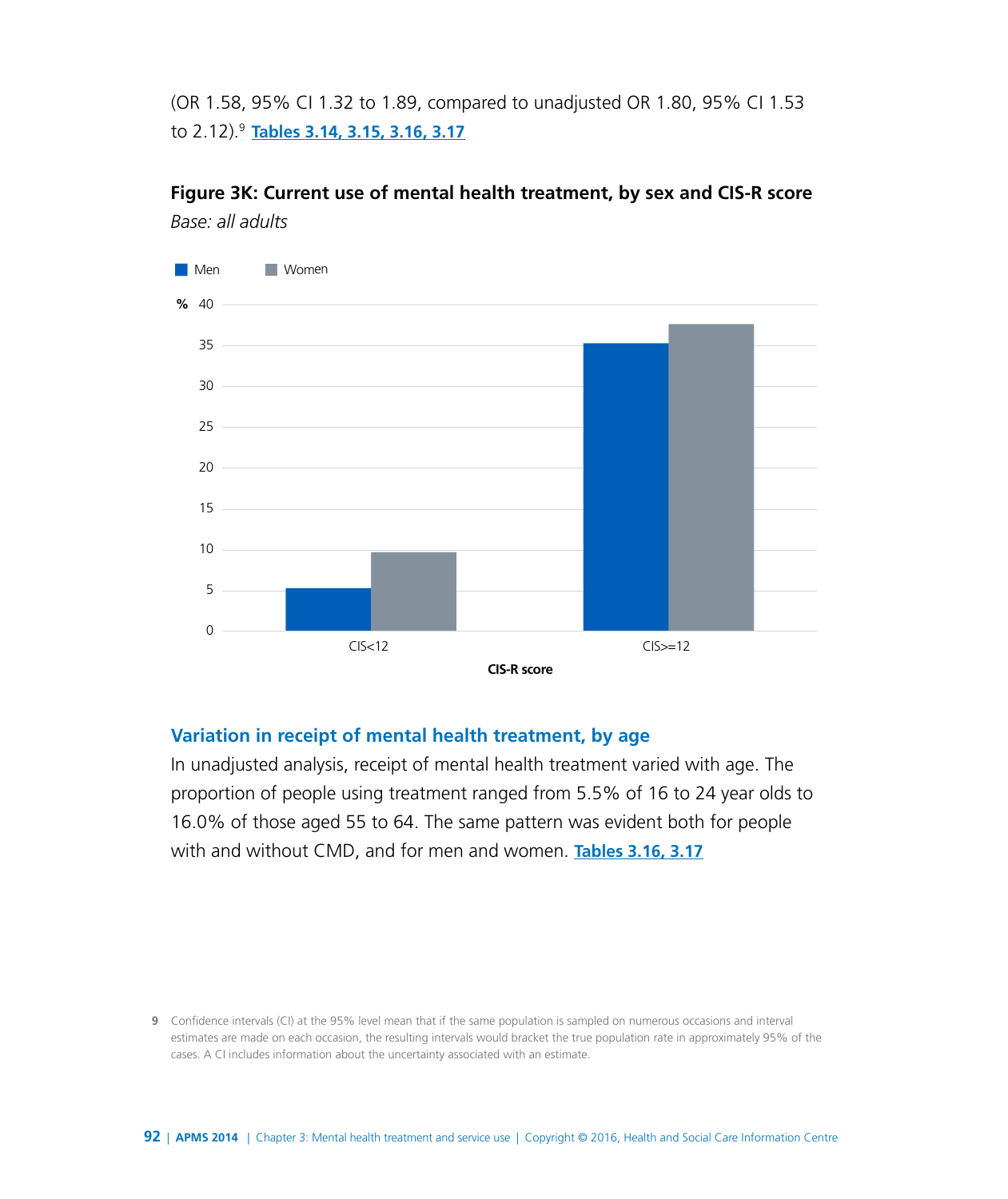(OR 1.58, 95% CI 1.32 to 1.89, compared to unadjusted OR 1.80, 95% CI 1.53 to 2.12).9 **[Tables 3.14, 3.15, 3.16, 3.17](http://www.digital.nhs.uk/catalogue/PUB21748/apms-2014-ch-03-tabs.xls )**

**Figure 3K: Current use of mental health treatment, by sex and CIS-R score** *Base: all adults*

![](_page_23_Figure_2.jpeg)

#### **Variation in receipt of mental health treatment, by age**

In unadjusted analysis, receipt of mental health treatment varied with age. The proportion of people using treatment ranged from 5.5% of 16 to 24 year olds to 16.0% of those aged 55 to 64. The same pattern was evident both for people with and without CMD, and for men and women. **[Tables 3.16, 3.17](http://www.digital.nhs.uk/catalogue/PUB21748/apms-2014-ch-03-tabs.xls )**

**9** Confidence intervals (CI) at the 95% level mean that if the same population is sampled on numerous occasions and interval estimates are made on each occasion, the resulting intervals would bracket the true population rate in approximately 95% of the cases. A CI includes information about the uncertainty associated with an estimate.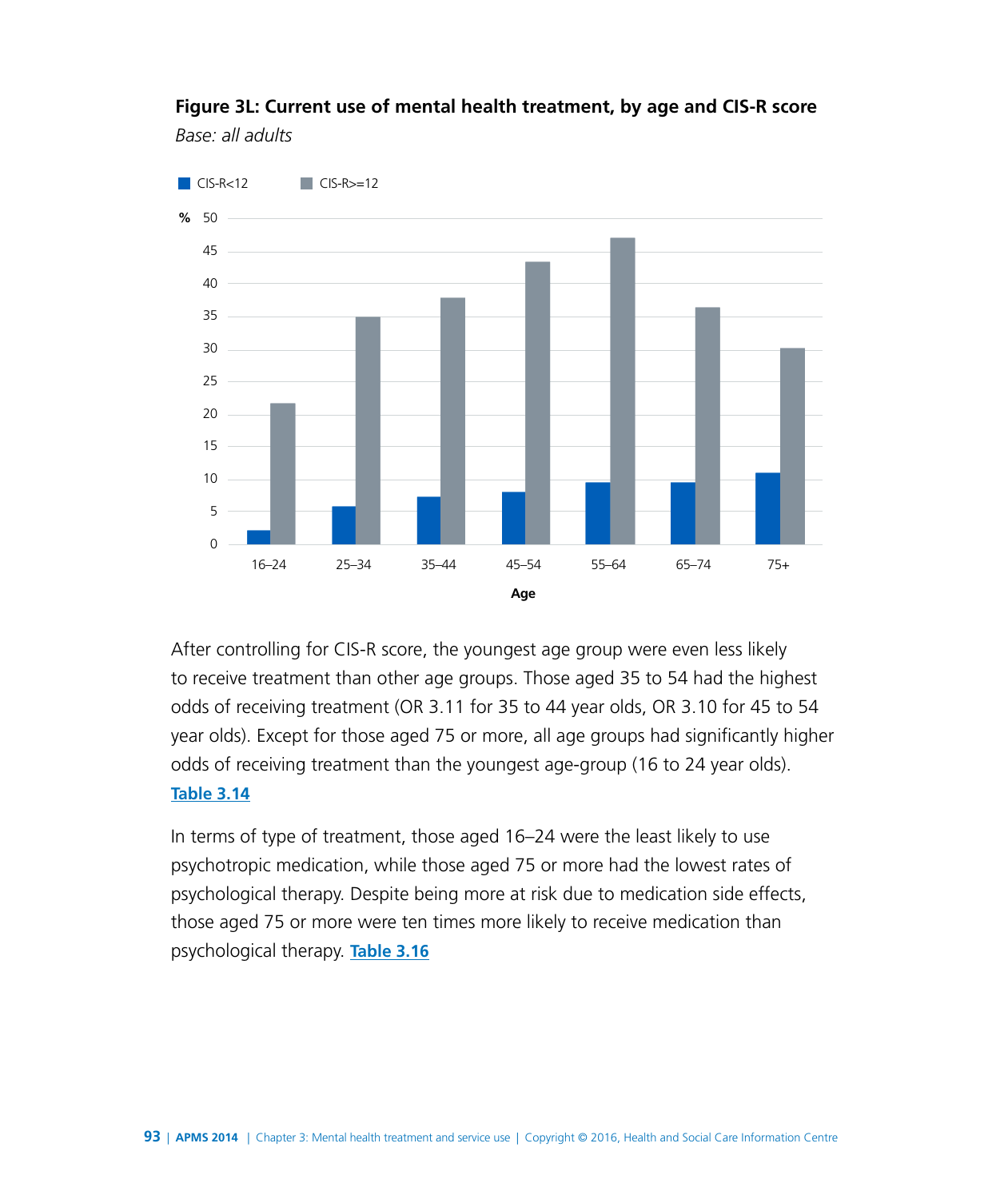![](_page_24_Figure_0.jpeg)

## **Figure 3L: Current use of mental health treatment, by age and CIS-R score** *Base: all adults*

After controlling for CIS-R score, the youngest age group were even less likely to receive treatment than other age groups. Those aged 35 to 54 had the highest odds of receiving treatment (OR 3.11 for 35 to 44 year olds, OR 3.10 for 45 to 54 year olds). Except for those aged 75 or more, all age groups had significantly higher odds of receiving treatment than the youngest age-group (16 to 24 year olds).

#### **[Table 3.14](http://www.digital.nhs.uk/catalogue/PUB21748/apms-2014-ch-03-tabs.xls )**

In terms of type of treatment, those aged 16–24 were the least likely to use psychotropic medication, while those aged 75 or more had the lowest rates of psychological therapy. Despite being more at risk due to medication side effects, those aged 75 or more were ten times more likely to receive medication than psychological therapy. **[Table 3.16](http://www.digital.nhs.uk/catalogue/PUB21748/apms-2014-ch-03-tabs.xls )**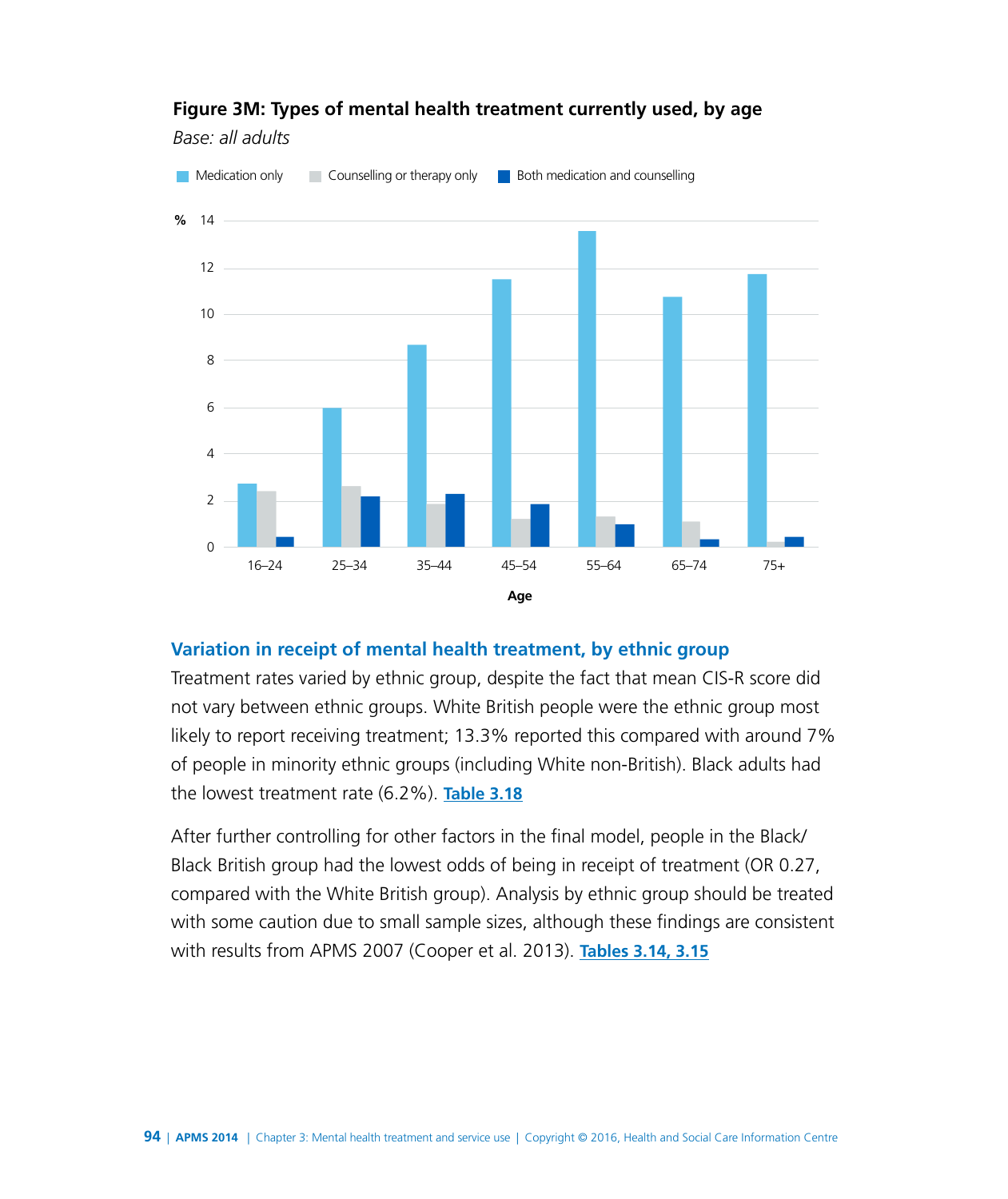![](_page_25_Figure_0.jpeg)

## **Figure 3M: Types of mental health treatment currently used, by age**

*Base: all adults*

#### **Variation in receipt of mental health treatment, by ethnic group**

Treatment rates varied by ethnic group, despite the fact that mean CIS-R score did not vary between ethnic groups. White British people were the ethnic group most likely to report receiving treatment; 13.3% reported this compared with around 7% of people in minority ethnic groups (including White non-British). Black adults had the lowest treatment rate (6.2%). **[Table 3.18](http://www.digital.nhs.uk/catalogue/PUB21748/apms-2014-ch-03-tabs.xls )**

After further controlling for other factors in the final model, people in the Black/ Black British group had the lowest odds of being in receipt of treatment (OR 0.27, compared with the White British group). Analysis by ethnic group should be treated with some caution due to small sample sizes, although these findings are consistent with results from APMS 2007 (Cooper et al. 2013). **[Tables 3.14, 3.15](http://www.digital.nhs.uk/catalogue/PUB21748/apms-2014-ch-03-tabs.xls )**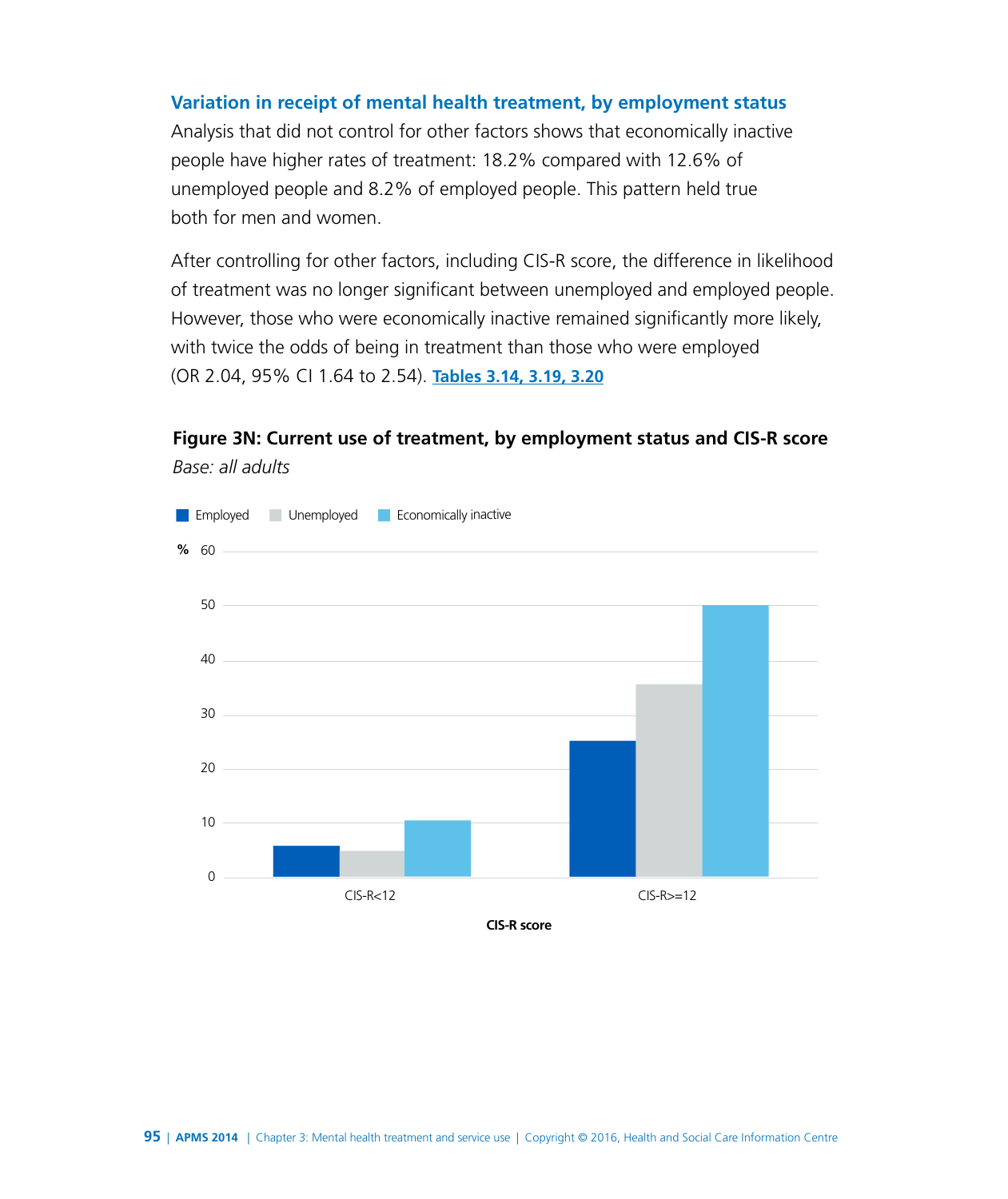#### **Variation in receipt of mental health treatment, by employment status**

Analysis that did not control for other factors shows that economically inactive people have higher rates of treatment: 18.2% compared with 12.6% of unemployed people and 8.2% of employed people. This pattern held true both for men and women.

After controlling for other factors, including CIS-R score, the difference in likelihood of treatment was no longer significant between unemployed and employed people. However, those who were economically inactive remained significantly more likely, with twice the odds of being in treatment than those who were employed (OR 2.04, 95% CI 1.64 to 2.54). **[Tables 3.14, 3.19, 3.20](http://www.digital.nhs.uk/catalogue/PUB21748/apms-2014-ch-03-tabs.xls )**

![](_page_26_Figure_3.jpeg)

![](_page_26_Figure_4.jpeg)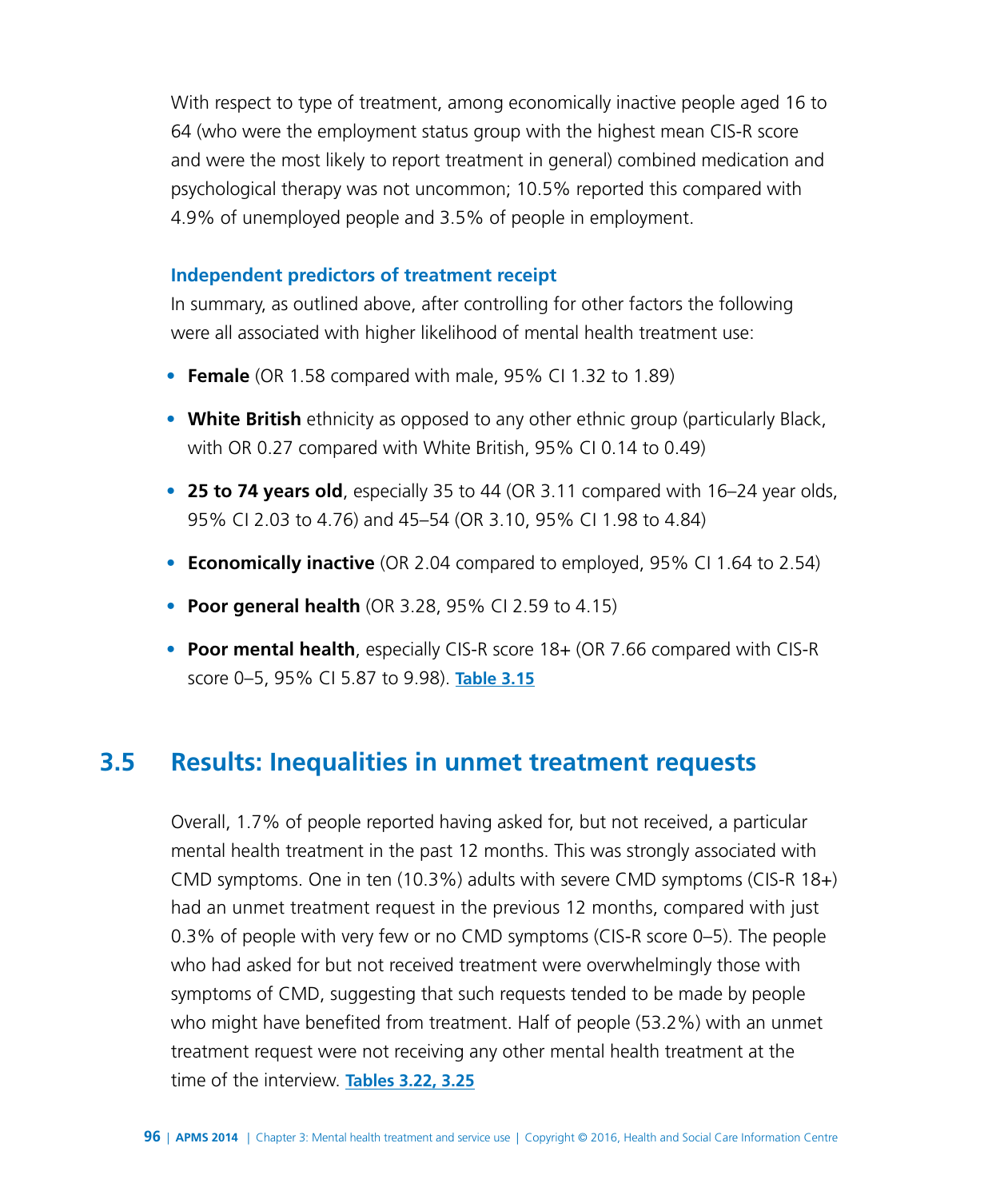With respect to type of treatment, among economically inactive people aged 16 to 64 (who were the employment status group with the highest mean CIS-R score and were the most likely to report treatment in general) combined medication and psychological therapy was not uncommon; 10.5% reported this compared with 4.9% of unemployed people and 3.5% of people in employment.

#### **Independent predictors of treatment receipt**

In summary, as outlined above, after controlling for other factors the following were all associated with higher likelihood of mental health treatment use:

- **Female** (OR 1.58 compared with male, 95% CI 1.32 to 1.89)
- **White British** ethnicity as opposed to any other ethnic group (particularly Black, with OR 0.27 compared with White British, 95% CI 0.14 to 0.49)
- **25 to 74 years old**, especially 35 to 44 (OR 3.11 compared with 16–24 year olds, 95% CI 2.03 to 4.76) and 45–54 (OR 3.10, 95% CI 1.98 to 4.84)
- **Economically inactive** (OR 2.04 compared to employed, 95% CI 1.64 to 2.54)
- **Poor general health** (OR 3.28, 95% CI 2.59 to 4.15)
- **Poor mental health**, especially CIS-R score 18+ (OR 7.66 compared with CIS-R score 0–5, 95% CI 5.87 to 9.98). **[Table 3.15](http://www.digital.nhs.uk/catalogue/PUB21748/apms-2014-ch-03-tabs.xls )**

# **3.5 Results: Inequalities in unmet treatment requests**

Overall, 1.7% of people reported having asked for, but not received, a particular mental health treatment in the past 12 months. This was strongly associated with CMD symptoms. One in ten (10.3%) adults with severe CMD symptoms (CIS-R 18+) had an unmet treatment request in the previous 12 months, compared with just 0.3% of people with very few or no CMD symptoms (CIS-R score 0–5). The people who had asked for but not received treatment were overwhelmingly those with symptoms of CMD, suggesting that such requests tended to be made by people who might have benefited from treatment. Half of people (53.2%) with an unmet treatment request were not receiving any other mental health treatment at the time of the interview. **[Tables 3.22, 3.25](http://www.digital.nhs.uk/catalogue/PUB21748/apms-2014-ch-03-tabs.xls )**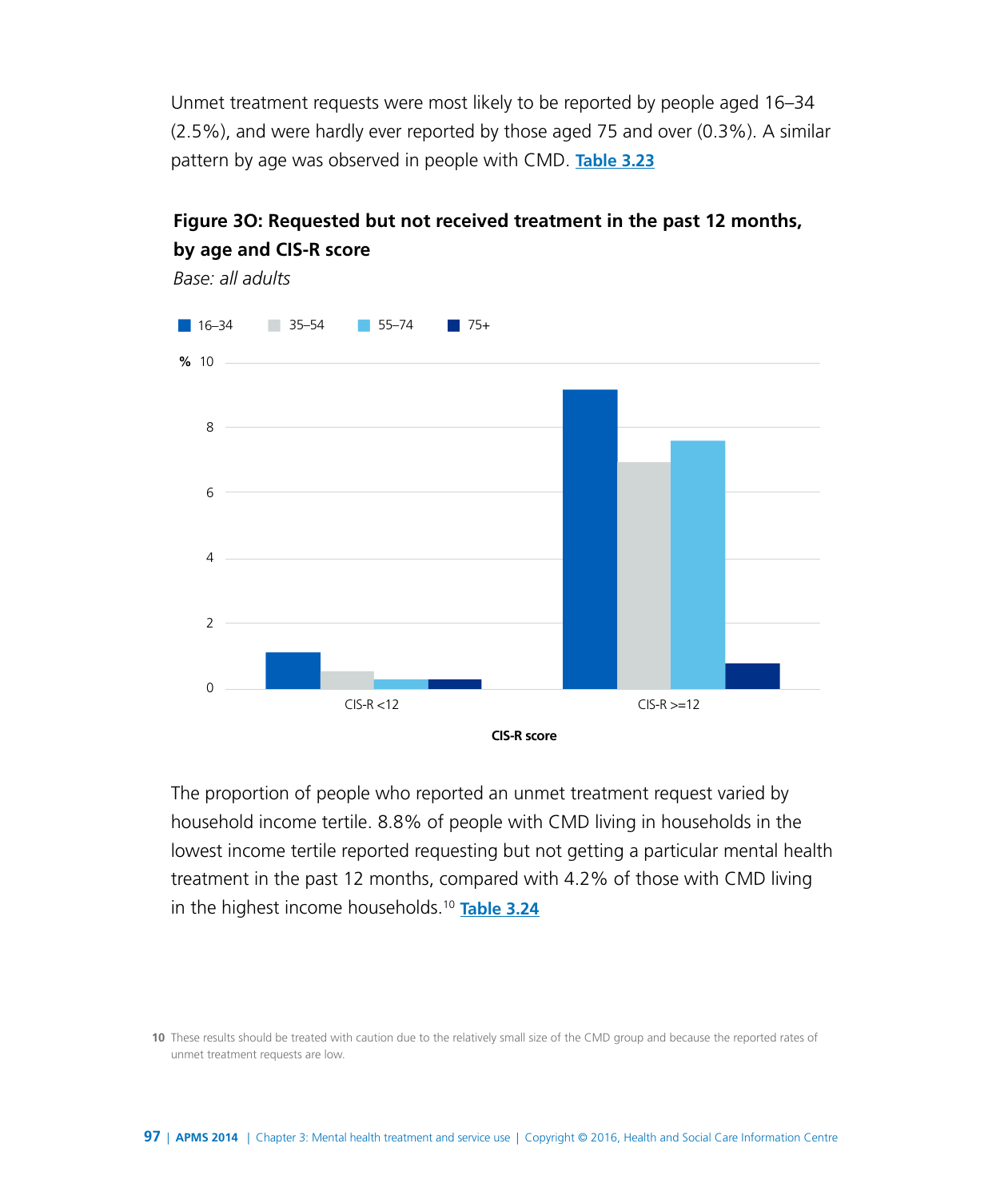Unmet treatment requests were most likely to be reported by people aged 16–34 (2.5%), and were hardly ever reported by those aged 75 and over (0.3%). A similar pattern by age was observed in people with CMD. **[Table 3.23](http://www.digital.nhs.uk/catalogue/PUB21748/apms-2014-ch-03-tabs.xls )**

![](_page_28_Figure_1.jpeg)

## **Figure 3O: Requested but not received treatment in the past 12 months, by age and CIS-R score**

The proportion of people who reported an unmet treatment request varied by household income tertile. 8.8% of people with CMD living in households in the lowest income tertile reported requesting but not getting a particular mental health treatment in the past 12 months, compared with 4.2% of those with CMD living in the highest income households.10 **[Table 3.24](http://www.digital.nhs.uk/catalogue/PUB21748/apms-2014-ch-03-tabs.xls )**

**10** These results should be treated with caution due to the relatively small size of the CMD group and because the reported rates of unmet treatment requests are low.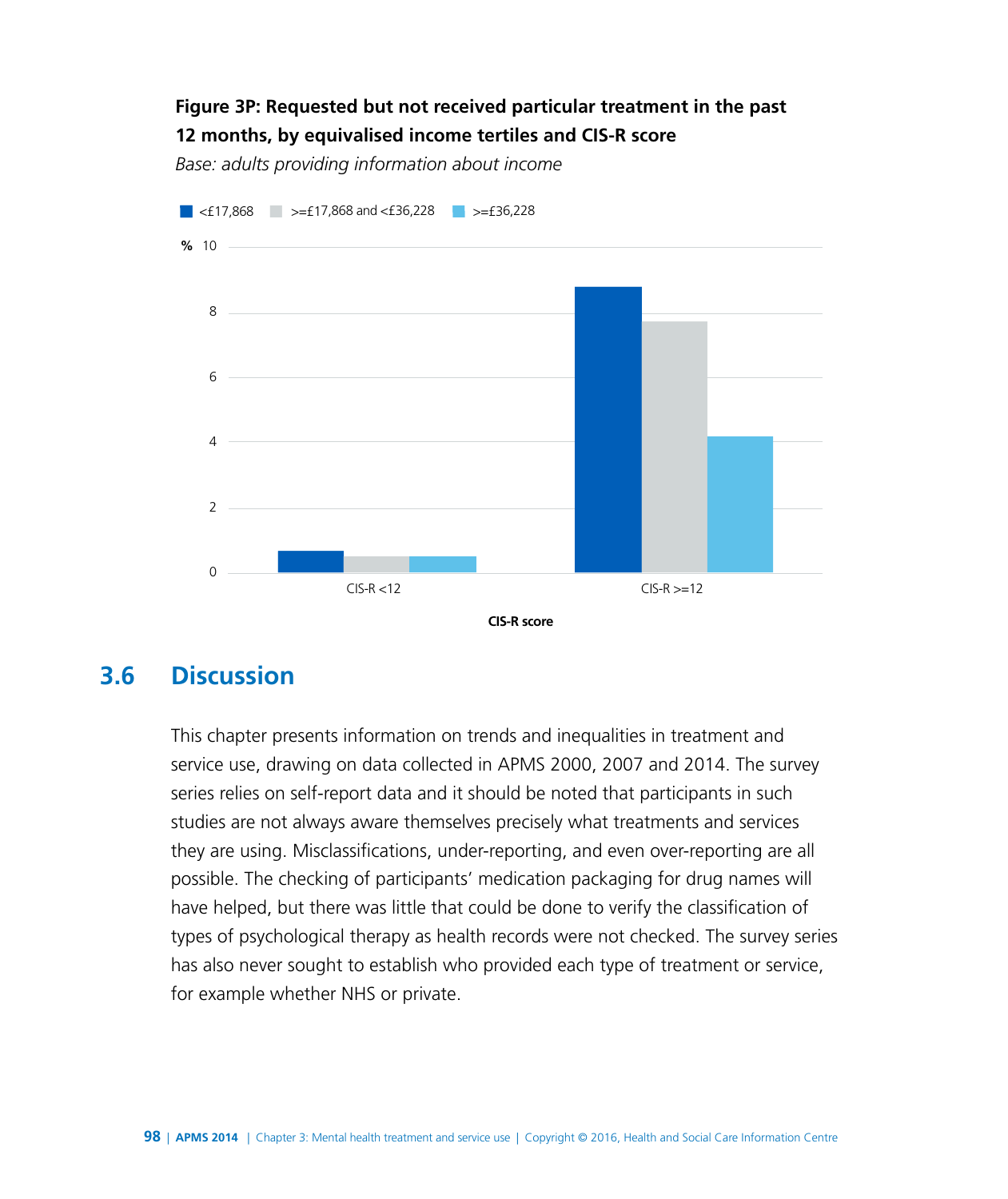## **Figure 3P: Requested but not received particular treatment in the past 12 months, by equivalised income tertiles and CIS-R score**

*Base: adults providing information about income*

![](_page_29_Figure_2.jpeg)

**3.6 Discussion**

This chapter presents information on trends and inequalities in treatment and service use, drawing on data collected in APMS 2000, 2007 and 2014. The survey series relies on self-report data and it should be noted that participants in such studies are not always aware themselves precisely what treatments and services they are using. Misclassifications, under-reporting, and even over-reporting are all possible. The checking of participants' medication packaging for drug names will have helped, but there was little that could be done to verify the classification of types of psychological therapy as health records were not checked. The survey series has also never sought to establish who provided each type of treatment or service, for example whether NHS or private.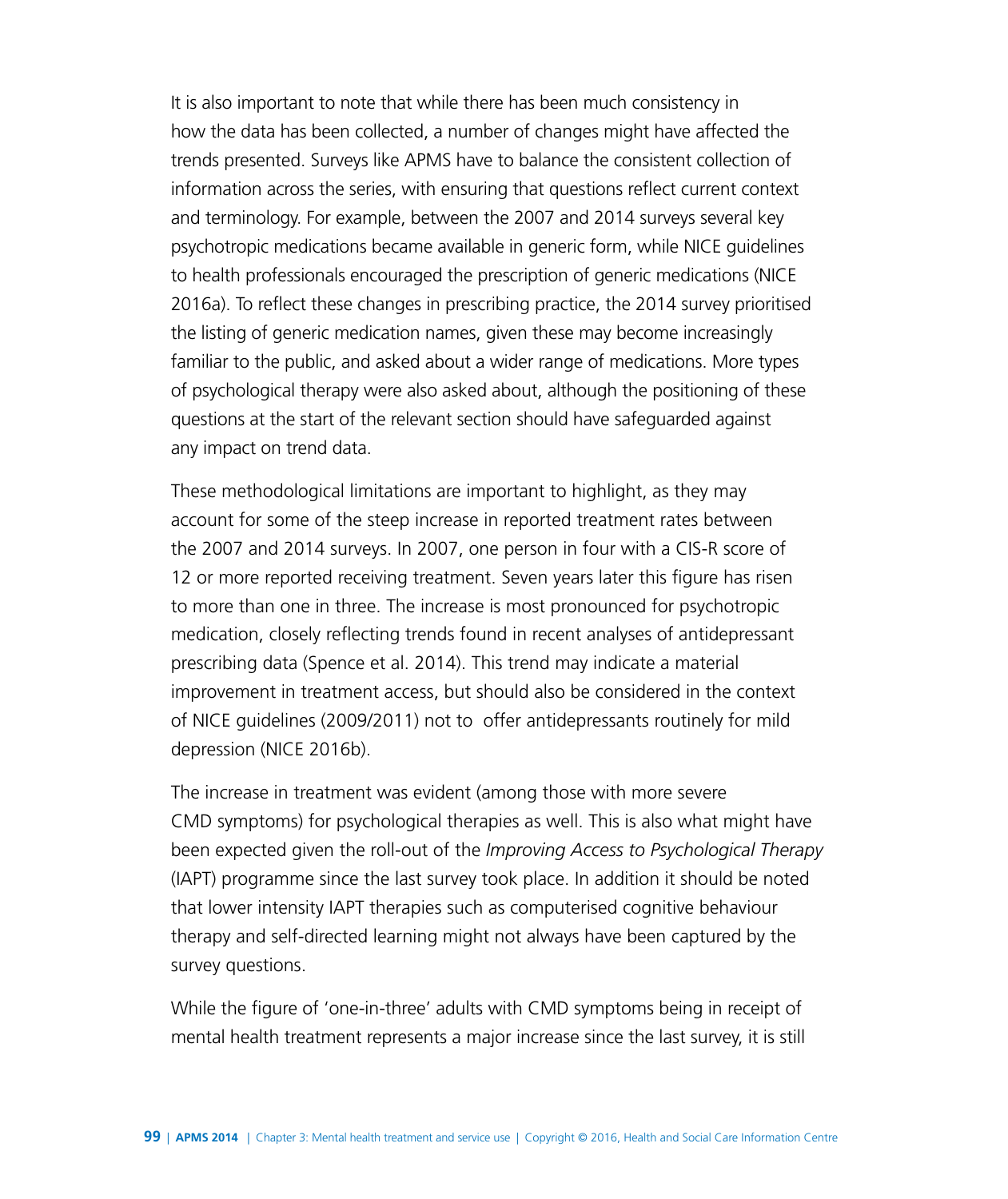It is also important to note that while there has been much consistency in how the data has been collected, a number of changes might have affected the trends presented. Surveys like APMS have to balance the consistent collection of information across the series, with ensuring that questions reflect current context and terminology. For example, between the 2007 and 2014 surveys several key psychotropic medications became available in generic form, while NICE guidelines to health professionals encouraged the prescription of generic medications (NICE 2016a). To reflect these changes in prescribing practice, the 2014 survey prioritised the listing of generic medication names, given these may become increasingly familiar to the public, and asked about a wider range of medications. More types of psychological therapy were also asked about, although the positioning of these questions at the start of the relevant section should have safeguarded against any impact on trend data.

These methodological limitations are important to highlight, as they may account for some of the steep increase in reported treatment rates between the 2007 and 2014 surveys. In 2007, one person in four with a CIS-R score of 12 or more reported receiving treatment. Seven years later this figure has risen to more than one in three. The increase is most pronounced for psychotropic medication, closely reflecting trends found in recent analyses of antidepressant prescribing data (Spence et al. 2014). This trend may indicate a material improvement in treatment access, but should also be considered in the context of NICE guidelines (2009/2011) not to offer antidepressants routinely for mild depression (NICE 2016b).

The increase in treatment was evident (among those with more severe CMD symptoms) for psychological therapies as well. This is also what might have been expected given the roll-out of the *Improving Access to Psychological Therapy* (IAPT) programme since the last survey took place. In addition it should be noted that lower intensity IAPT therapies such as computerised cognitive behaviour therapy and self-directed learning might not always have been captured by the survey questions.

While the figure of 'one-in-three' adults with CMD symptoms being in receipt of mental health treatment represents a major increase since the last survey, it is still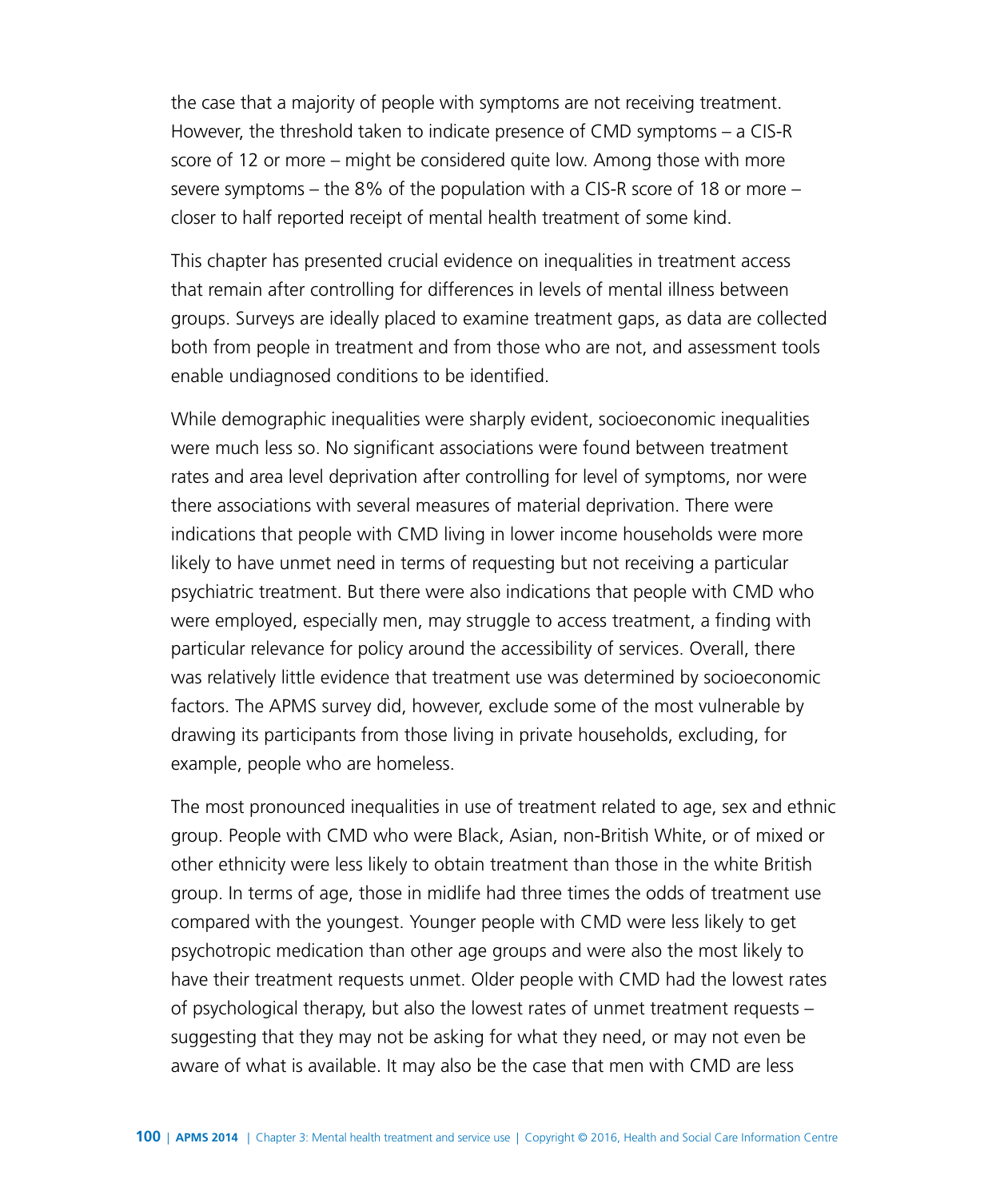the case that a majority of people with symptoms are not receiving treatment. However, the threshold taken to indicate presence of CMD symptoms – a CIS-R score of 12 or more – might be considered quite low. Among those with more severe symptoms – the 8% of the population with a CIS-R score of 18 or more – closer to half reported receipt of mental health treatment of some kind.

This chapter has presented crucial evidence on inequalities in treatment access that remain after controlling for differences in levels of mental illness between groups. Surveys are ideally placed to examine treatment gaps, as data are collected both from people in treatment and from those who are not, and assessment tools enable undiagnosed conditions to be identified.

While demographic inequalities were sharply evident, socioeconomic inequalities were much less so. No significant associations were found between treatment rates and area level deprivation after controlling for level of symptoms, nor were there associations with several measures of material deprivation. There were indications that people with CMD living in lower income households were more likely to have unmet need in terms of requesting but not receiving a particular psychiatric treatment. But there were also indications that people with CMD who were employed, especially men, may struggle to access treatment, a finding with particular relevance for policy around the accessibility of services. Overall, there was relatively little evidence that treatment use was determined by socioeconomic factors. The APMS survey did, however, exclude some of the most vulnerable by drawing its participants from those living in private households, excluding, for example, people who are homeless.

The most pronounced inequalities in use of treatment related to age, sex and ethnic group. People with CMD who were Black, Asian, non-British White, or of mixed or other ethnicity were less likely to obtain treatment than those in the white British group. In terms of age, those in midlife had three times the odds of treatment use compared with the youngest. Younger people with CMD were less likely to get psychotropic medication than other age groups and were also the most likely to have their treatment requests unmet. Older people with CMD had the lowest rates of psychological therapy, but also the lowest rates of unmet treatment requests – suggesting that they may not be asking for what they need, or may not even be aware of what is available. It may also be the case that men with CMD are less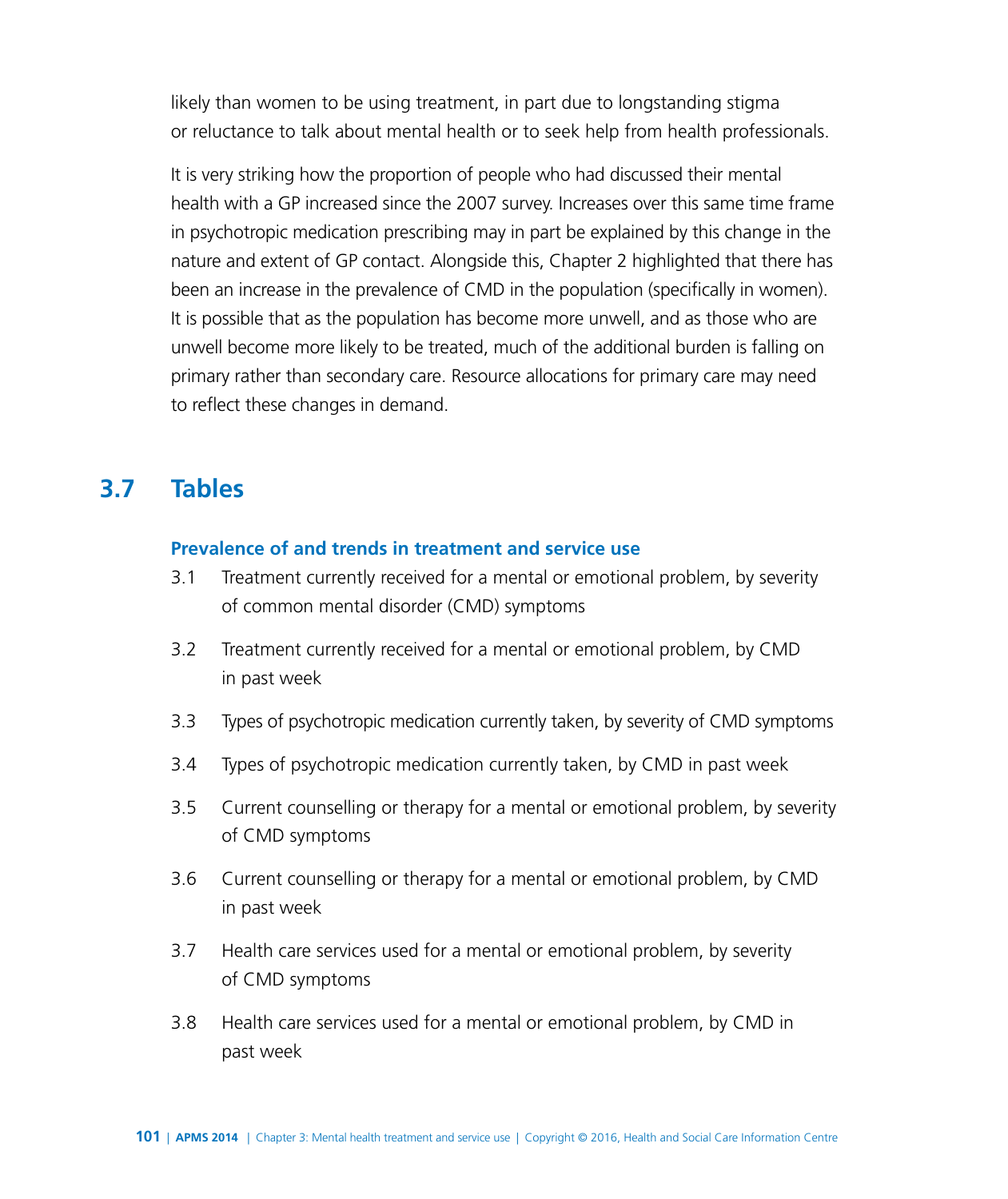likely than women to be using treatment, in part due to longstanding stigma or reluctance to talk about mental health or to seek help from health professionals.

It is very striking how the proportion of people who had discussed their mental health with a GP increased since the 2007 survey. Increases over this same time frame in psychotropic medication prescribing may in part be explained by this change in the nature and extent of GP contact. Alongside this, Chapter 2 highlighted that there has been an increase in the prevalence of CMD in the population (specifically in women). It is possible that as the population has become more unwell, and as those who are unwell become more likely to be treated, much of the additional burden is falling on primary rather than secondary care. Resource allocations for primary care may need to reflect these changes in demand.

# **3.7 Tables**

#### **Prevalence of and trends in treatment and service use**

- 3.1 Treatment currently received for a mental or emotional problem, by severity of common mental disorder (CMD) symptoms
- 3.2 Treatment currently received for a mental or emotional problem, by CMD in past week
- 3.3 Types of psychotropic medication currently taken, by severity of CMD symptoms
- 3.4 Types of psychotropic medication currently taken, by CMD in past week
- 3.5 Current counselling or therapy for a mental or emotional problem, by severity of CMD symptoms
- 3.6 Current counselling or therapy for a mental or emotional problem, by CMD in past week
- 3.7 Health care services used for a mental or emotional problem, by severity of CMD symptoms
- 3.8 Health care services used for a mental or emotional problem, by CMD in past week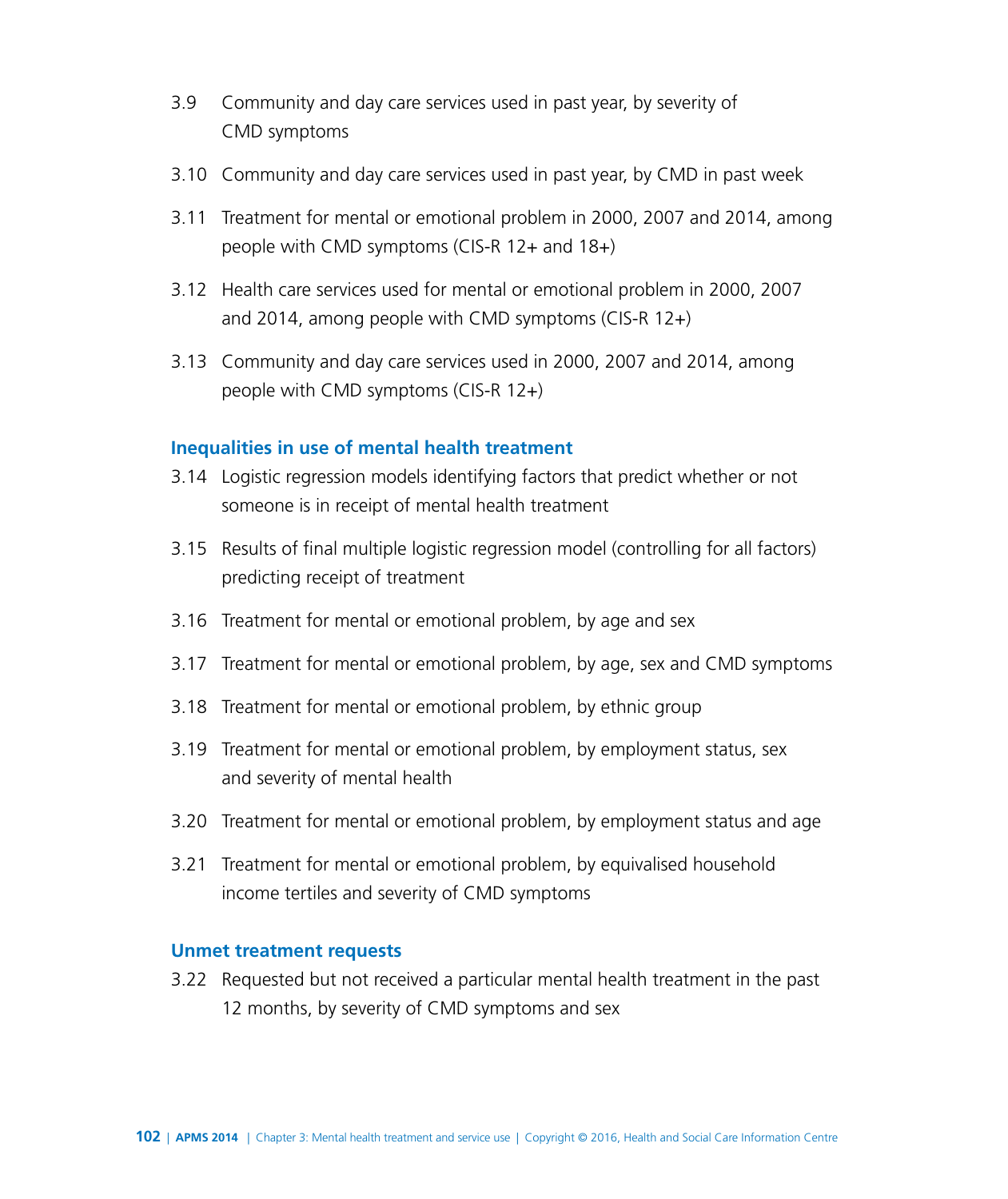- 3.9 Community and day care services used in past year, by severity of CMD symptoms
- 3.10 Community and day care services used in past year, by CMD in past week
- 3.11 Treatment for mental or emotional problem in 2000, 2007 and 2014, among people with CMD symptoms (CIS-R 12+ and 18+)
- 3.12 Health care services used for mental or emotional problem in 2000, 2007 and 2014, among people with CMD symptoms (CIS-R 12+)
- 3.13 Community and day care services used in 2000, 2007 and 2014, among people with CMD symptoms (CIS-R 12+)

#### **Inequalities in use of mental health treatment**

- 3.14 Logistic regression models identifying factors that predict whether or not someone is in receipt of mental health treatment
- 3.15 Results of final multiple logistic regression model (controlling for all factors) predicting receipt of treatment
- 3.16 Treatment for mental or emotional problem, by age and sex
- 3.17 Treatment for mental or emotional problem, by age, sex and CMD symptoms
- 3.18 Treatment for mental or emotional problem, by ethnic group
- 3.19 Treatment for mental or emotional problem, by employment status, sex and severity of mental health
- 3.20 Treatment for mental or emotional problem, by employment status and age
- 3.21 Treatment for mental or emotional problem, by equivalised household income tertiles and severity of CMD symptoms

#### **Unmet treatment requests**

3.22 Requested but not received a particular mental health treatment in the past 12 months, by severity of CMD symptoms and sex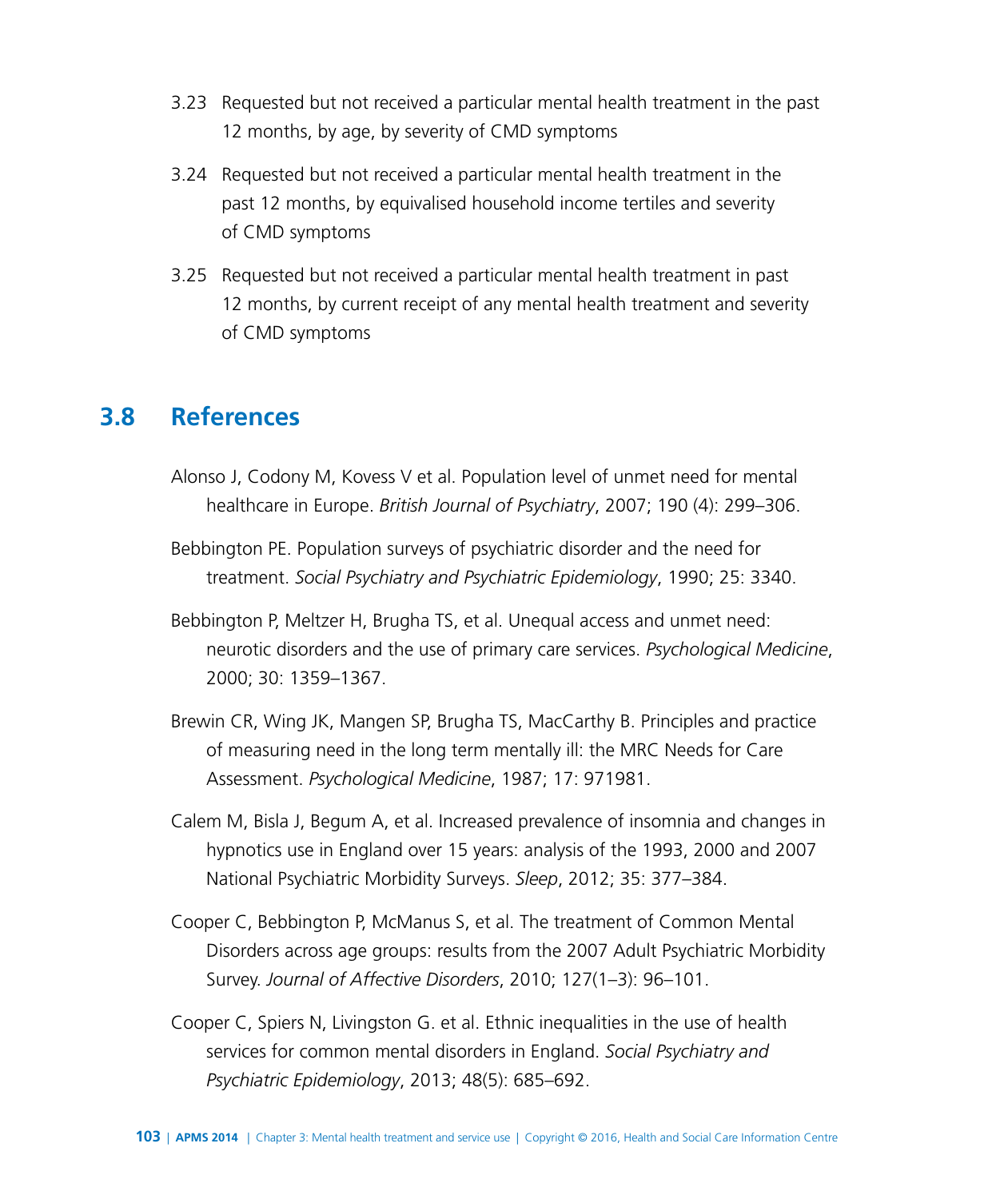- 3.23 Requested but not received a particular mental health treatment in the past 12 months, by age, by severity of CMD symptoms
- 3.24 Requested but not received a particular mental health treatment in the past 12 months, by equivalised household income tertiles and severity of CMD symptoms
- 3.25 Requested but not received a particular mental health treatment in past 12 months, by current receipt of any mental health treatment and severity of CMD symptoms

# **3.8 References**

- Alonso J, Codony M, Kovess V et al. Population level of unmet need for mental healthcare in Europe. *British Journal of Psychiatry*, 2007; 190 (4): 299–306.
- Bebbington PE. Population surveys of psychiatric disorder and the need for treatment. *Social Psychiatry and Psychiatric Epidemiology*, 1990; 25: 3340.
- Bebbington P, Meltzer H, Brugha TS, et al. Unequal access and unmet need: neurotic disorders and the use of primary care services. *Psychological Medicine*, 2000; 30: 1359–1367.
- Brewin CR, Wing JK, Mangen SP, Brugha TS, MacCarthy B. Principles and practice of measuring need in the long term mentally ill: the MRC Needs for Care Assessment. *Psychological Medicine*, 1987; 17: 971981.
- Calem M, Bisla J, Begum A, et al. Increased prevalence of insomnia and changes in hypnotics use in England over 15 years: analysis of the 1993, 2000 and 2007 National Psychiatric Morbidity Surveys. *Sleep*, 2012; 35: 377–384.
- Cooper C, Bebbington P, McManus S, et al. The treatment of Common Mental Disorders across age groups: results from the 2007 Adult Psychiatric Morbidity Survey. *Journal of Affective Disorders*, 2010; 127(1–3): 96–101.
- Cooper C, Spiers N, Livingston G. et al. Ethnic inequalities in the use of health services for common mental disorders in England. *Social Psychiatry and Psychiatric Epidemiology*, 2013; 48(5): 685–692.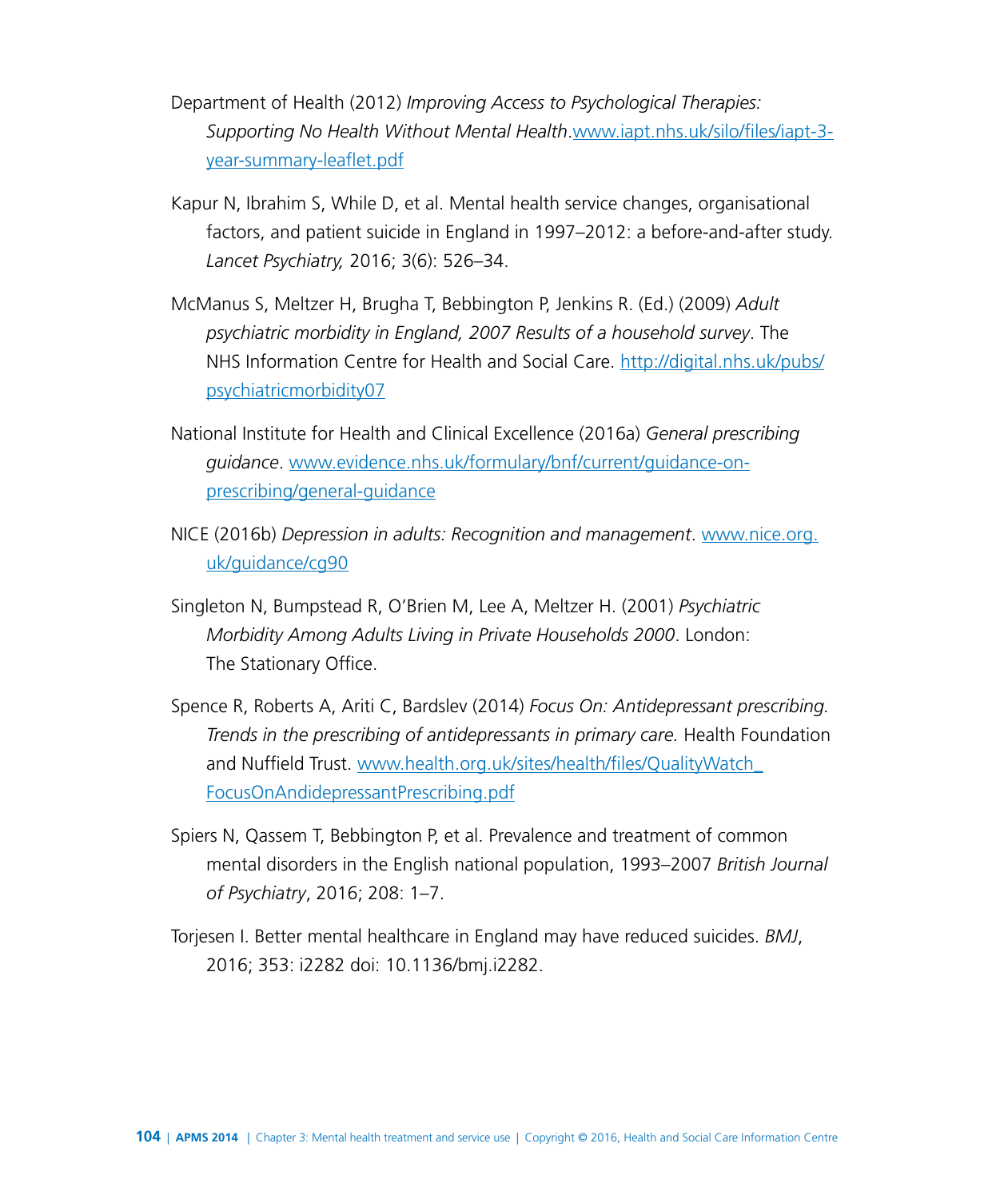Department of Health (2012) *Improving Access to Psychological Therapies: Supporting No Health Without Mental Health*.[www.iapt.nhs.uk/silo/files/iapt-3](http://www.iapt.nhs.uk/silo/files/iapt-3-year-summary-leaflet.pdf) [year-summary-leaflet.pdf](http://www.iapt.nhs.uk/silo/files/iapt-3-year-summary-leaflet.pdf)

- Kapur N, Ibrahim S, While D, et al. Mental health service changes, organisational factors, and patient suicide in England in 1997–2012: a before-and-after study. *Lancet Psychiatry,* 2016; 3(6): 526–34.
- McManus S, Meltzer H, Brugha T, Bebbington P, Jenkins R. (Ed.) (2009) *Adult psychiatric morbidity in England, 2007 Results of a household survey*. The NHS Information Centre for Health and Social Care. [http://digital.nhs.uk/pubs/](http://digital.nhs.uk/pubs/psychiatricmorbidity07) [psychiatricmorbidity07](http://digital.nhs.uk/pubs/psychiatricmorbidity07)
- National Institute for Health and Clinical Excellence (2016a) *General prescribing guidance*. [www.evidence.nhs.uk/formulary/bnf/current/guidance-on](http://www.evidence.nhs.uk/formulary/bnf/current/guidance-on-prescribing/general-guidance)[prescribing/general-guidance](http://www.evidence.nhs.uk/formulary/bnf/current/guidance-on-prescribing/general-guidance)
- NICE (2016b) *Depression in adults: Recognition and management*. [www.nice.org.](https://www.nice.org.uk/guidance/cg90) [uk/guidance/cg90](https://www.nice.org.uk/guidance/cg90)
- Singleton N, Bumpstead R, O'Brien M, Lee A, Meltzer H. (2001) *Psychiatric Morbidity Among Adults Living in Private Households 2000*. London: The Stationary Office.
- Spence R, Roberts A, Ariti C, Bardslev (2014) *Focus On: Antidepressant prescribing. Trends in the prescribing of antidepressants in primary care.* Health Foundation and Nuffield Trust. [www.health.org.uk/sites/health/files/QualityWatch\\_](http://www.health.org.uk/sites/health/files/QualityWatch_FocusOnAndidepressantPrescribing.pdf) [FocusOnAndidepressantPrescribing.pdf](http://www.health.org.uk/sites/health/files/QualityWatch_FocusOnAndidepressantPrescribing.pdf)
- Spiers N, Qassem T, Bebbington P, et al. Prevalence and treatment of common mental disorders in the English national population, 1993–2007 *British Journal of Psychiatry*, 2016; 208: 1–7.
- Torjesen I. Better mental healthcare in England may have reduced suicides. *BMJ*, 2016; 353: i2282 doi: [10.1136/bmj](http://10.1136/bmj).i2282.